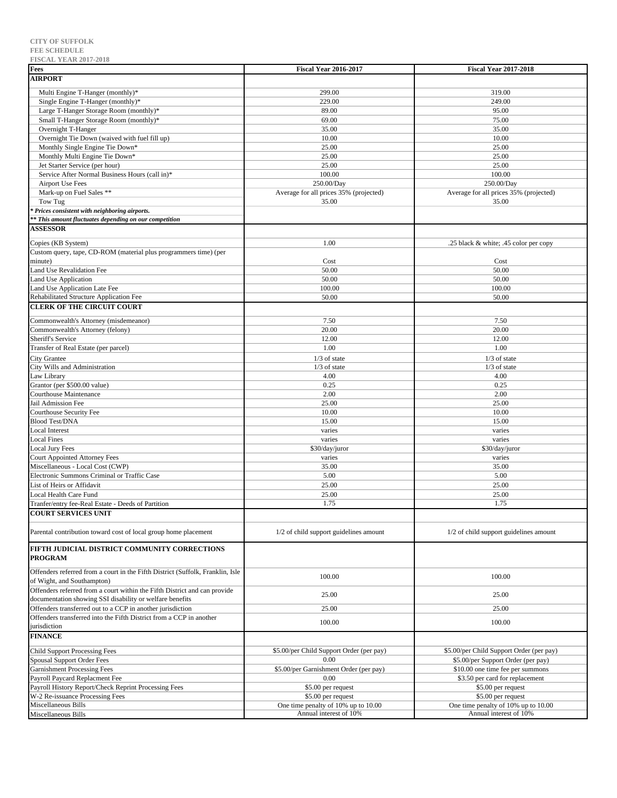| <b>FISCAL YEAR 2017-2018</b>                                                   |                                          |                                          |
|--------------------------------------------------------------------------------|------------------------------------------|------------------------------------------|
| Fees                                                                           | <b>Fiscal Year 2016-2017</b>             | <b>Fiscal Year 2017-2018</b>             |
| <b>AIRPORT</b>                                                                 |                                          |                                          |
|                                                                                |                                          |                                          |
| Multi Engine T-Hanger (monthly)*                                               | 299.00                                   | 319.00                                   |
| Single Engine T-Hanger (monthly)*                                              | 229.00                                   | 249.00                                   |
| Large T-Hanger Storage Room (monthly)*                                         | 89.00                                    | 95.00                                    |
| Small T-Hanger Storage Room (monthly)*                                         | 69.00                                    | 75.00                                    |
| Overnight T-Hanger                                                             | 35.00                                    | 35.00                                    |
| Overnight Tie Down (waived with fuel fill up)                                  | 10.00                                    | 10.00                                    |
| Monthly Single Engine Tie Down*                                                | 25.00                                    | 25.00                                    |
| Monthly Multi Engine Tie Down*                                                 | 25.00                                    | 25.00                                    |
| Jet Starter Service (per hour)                                                 | 25.00                                    | 25.00                                    |
| Service After Normal Business Hours (call in)*                                 | 100.00                                   | 100.00                                   |
| Airport Use Fees                                                               | 250.00/Day                               | 250.00/Day                               |
| Mark-up on Fuel Sales **                                                       | Average for all prices 35% (projected)   | Average for all prices 35% (projected)   |
| Tow Tug                                                                        | 35.00                                    | 35.00                                    |
| Prices consistent with neighboring airports.                                   |                                          |                                          |
|                                                                                |                                          |                                          |
| * This amount fluctuates depending on our competition                          |                                          |                                          |
| <b>ASSESSOR</b>                                                                |                                          |                                          |
| Copies (KB System)                                                             | 1.00                                     | .25 black & white; .45 color per copy    |
| Custom query, tape, CD-ROM (material plus programmers time) (per               |                                          |                                          |
| minute)                                                                        | Cost                                     | Cost                                     |
| Land Use Revalidation Fee                                                      | 50.00                                    | 50.00                                    |
|                                                                                |                                          |                                          |
| Land Use Application                                                           | 50.00                                    | 50.00                                    |
| Land Use Application Late Fee                                                  | 100.00                                   | 100.00                                   |
| Rehabilitated Structure Application Fee                                        | 50.00                                    | 50.00                                    |
| <b>CLERK OF THE CIRCUIT COURT</b>                                              |                                          |                                          |
| Commonwealth's Attorney (misdemeanor)                                          | 7.50                                     | 7.50                                     |
| Commonwealth's Attorney (felony)                                               | 20.00                                    | 20.00                                    |
|                                                                                |                                          |                                          |
| Sheriff's Service                                                              | 12.00                                    | 12.00                                    |
| Transfer of Real Estate (per parcel)                                           | 1.00                                     | 1.00                                     |
| <b>City Grantee</b>                                                            | $1/3$ of state                           | $1/3$ of state                           |
| City Wills and Administration                                                  | $1/3$ of state                           | $1/3$ of state                           |
| Law Library                                                                    | 4.00                                     | 4.00                                     |
| Grantor (per \$500.00 value)                                                   | 0.25                                     | 0.25                                     |
| Courthouse Maintenance                                                         | 2.00                                     | 2.00                                     |
| Jail Admission Fee                                                             | 25.00                                    | 25.00                                    |
| Courthouse Security Fee                                                        | 10.00                                    | 10.00                                    |
| <b>Blood Test/DNA</b>                                                          | 15.00                                    | 15.00                                    |
| <b>Local Interest</b>                                                          | varies                                   | varies                                   |
| <b>Local Fines</b>                                                             | varies                                   | varies                                   |
| <b>Local Jury Fees</b>                                                         | \$30/day/juror                           | \$30/day/juror                           |
| Court Appointed Attorney Fees                                                  | varies                                   | varies                                   |
|                                                                                |                                          |                                          |
| Miscellaneous - Local Cost (CWP)                                               | 35.00                                    | 35.00                                    |
| Electronic Summons Criminal or Traffic Case                                    | 5.00                                     | 5.00                                     |
| List of Heirs or Affidavit                                                     | 25.00                                    | 25.00                                    |
| Local Health Care Fund                                                         | 25.00                                    | 25.00                                    |
| Tranfer/entry fee-Real Estate - Deeds of Partition                             | 1.75                                     | 1.75                                     |
| <b>COURT SERVICES UNIT</b>                                                     |                                          |                                          |
|                                                                                |                                          |                                          |
| Parental contribution toward cost of local group home placement                | 1/2 of child support guidelines amount   | 1/2 of child support guidelines amount   |
|                                                                                |                                          |                                          |
| FIFTH JUDICIAL DISTRICT COMMUNITY CORRECTIONS<br><b>PROGRAM</b>                |                                          |                                          |
|                                                                                |                                          |                                          |
| Offenders referred from a court in the Fifth District (Suffolk, Franklin, Isle | 100.00                                   | 100.00                                   |
| of Wight, and Southampton)                                                     |                                          |                                          |
| Offenders referred from a court within the Fifth District and can provide      | 25.00                                    | 25.00                                    |
| documentation showing SSI disability or welfare benefits                       |                                          |                                          |
| Offenders transferred out to a CCP in another jurisdiction                     | 25.00                                    | 25.00                                    |
| Offenders transferred into the Fifth District from a CCP in another            |                                          |                                          |
| jurisdiction                                                                   | 100.00                                   | 100.00                                   |
| <b>FINANCE</b>                                                                 |                                          |                                          |
|                                                                                |                                          |                                          |
| <b>Child Support Processing Fees</b>                                           | \$5.00/per Child Support Order (per pay) | \$5.00/per Child Support Order (per pay) |
| Spousal Support Order Fees                                                     | 0.00                                     | \$5.00/per Support Order (per pay)       |
| <b>Garnishment Processing Fees</b>                                             | \$5.00/per Garnishment Order (per pay)   | \$10.00 one time fee per summons         |
| Payroll Paycard Replacment Fee                                                 | 0.00                                     | \$3.50 per card for replacement          |
| Payroll History Report/Check Reprint Processing Fees                           | \$5.00 per request                       | \$5.00 per request                       |
| W-2 Re-issuance Processing Fees                                                | \$5.00 per request                       | \$5.00 per request                       |
| Miscellaneous Bills                                                            | One time penalty of 10% up to 10.00      | One time penalty of 10% up to 10.00      |
| Miscellaneous Bills                                                            | Annual interest of 10%                   | Annual interest of 10%                   |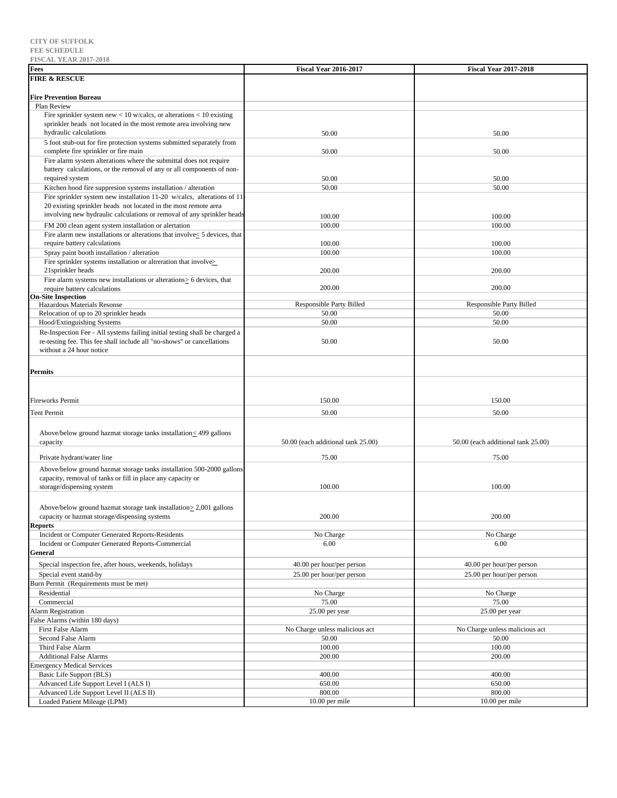| <b>L'IOCULE I EUIN 4017-4010</b>                                                   |                                    |                                    |
|------------------------------------------------------------------------------------|------------------------------------|------------------------------------|
| Fees                                                                               | <b>Fiscal Year 2016-2017</b>       | <b>Fiscal Year 2017-2018</b>       |
| <b>FIRE &amp; RESCUE</b>                                                           |                                    |                                    |
|                                                                                    |                                    |                                    |
| <b>Fire Prevention Bureau</b>                                                      |                                    |                                    |
| Plan Review                                                                        |                                    |                                    |
| Fire sprinkler system new $< 10$ w/calcs, or alterations $< 10$ existing           |                                    |                                    |
| sprinkler heads not located in the most remote area involving new                  |                                    |                                    |
| hydraulic calculations                                                             | 50.00                              | 50.00                              |
|                                                                                    |                                    |                                    |
| 5 foot stub-out for fire protection systems submitted separately from              |                                    |                                    |
| complete fire sprinkler or fire main                                               | 50.00                              | 50.00                              |
| Fire alarm system alterations where the submittal does not require                 |                                    |                                    |
| battery calculations, or the removal of any or all components of non-              |                                    |                                    |
| required system                                                                    | 50.00                              | 50.00                              |
| Kitchen hood fire suppresion systems installation / alteration                     | 50.00                              | 50.00                              |
| Fire sprinkler system new installation 11-20 w/calcs, alterations of 11            |                                    |                                    |
| 20 existing sprinkler heads not located in the most remote area                    |                                    |                                    |
| involving new hydraulic calculations or removal of any sprinkler heads             |                                    |                                    |
|                                                                                    | 100.00                             | 100.00                             |
| FM 200 clean agent system installation or alertation                               | 100.00                             | 100.00                             |
| Fire alarm new installations or alterations that involve $\leq$ 5 devices, that    |                                    |                                    |
| require battery calculations                                                       | 100.00                             | 100.00                             |
| Spray paint booth installation / alteration                                        | 100.00                             | 100.00                             |
| Fire sprinkler systems installation or altreration that involves                   |                                    |                                    |
| 21 sprinkler heads                                                                 | 200.00                             | 200.00                             |
| Fire alarm systems new installations or alterations > 6 devices, that              |                                    |                                    |
| require battery calculations                                                       | 200.00                             | 200.00                             |
| <b>On-Site Inspection</b>                                                          |                                    |                                    |
| Hazardous Materials Resonse                                                        | Responsible Party Billed           | Responsible Party Billed           |
| Relocation of up to 20 sprinkler heads                                             | 50.00                              | 50.00                              |
| Hood/Extinguishing Systems                                                         | 50.00                              | 50.00                              |
|                                                                                    |                                    |                                    |
| Re-Inspection Fee - All systems failing initial testing shall be charged a         |                                    |                                    |
| re-testing fee. This fee shall include all "no-shows" or cancellations             | 50.00                              | 50.00                              |
| without a 24 hour notice                                                           |                                    |                                    |
|                                                                                    |                                    |                                    |
| <b>Permits</b>                                                                     |                                    |                                    |
|                                                                                    |                                    |                                    |
|                                                                                    |                                    |                                    |
|                                                                                    |                                    |                                    |
| <b>Fireworks Permit</b>                                                            | 150.00                             | 150.00                             |
| <b>Tent Permit</b>                                                                 | 50.00                              | 50.00                              |
|                                                                                    |                                    |                                    |
|                                                                                    |                                    |                                    |
| Above/below ground hazmat storage tanks installation < <a> <a> 499</a> gallons</a> |                                    |                                    |
| capacity                                                                           | 50.00 (each additional tank 25.00) | 50.00 (each additional tank 25.00) |
|                                                                                    |                                    |                                    |
| Private hydrant/water line                                                         | 75.00                              | 75.00                              |
| Above/below ground hazmat storage tanks installation 500-2000 gallons              |                                    |                                    |
| capacity, removal of tanks or fill in place any capacity or                        |                                    |                                    |
| storage/dispensing system                                                          | 100.00                             | 100.00                             |
|                                                                                    |                                    |                                    |
|                                                                                    |                                    |                                    |
| Above/below ground hazmat storage tank installation $\geq 2,001$ gallons           |                                    |                                    |
| capacity or hazmat storage/dispensing systems                                      | 200.00                             | 200.00                             |
| <b>Reports</b>                                                                     |                                    |                                    |
| Incident or Computer Generated Reports-Residents                                   | No Charge                          | No Charge                          |
| Incident or Computer Generated Reports-Commercial                                  | 6.00                               | 6.00                               |
| General                                                                            |                                    |                                    |
|                                                                                    |                                    |                                    |
| Special inspection fee, after hours, weekends, holidays                            | 40.00 per hour/per person          | 40.00 per hour/per person          |
| Special event stand-by                                                             | 25.00 per hour/per person          | 25.00 per hour/per person          |
| Burn Permit (Requirements must be met)                                             |                                    |                                    |
| Residential                                                                        | No Charge                          | No Charge                          |
| Commercial                                                                         | 75.00                              | 75.00                              |
| <b>Alarm Registration</b>                                                          | 25.00 per year                     | 25.00 per year                     |
|                                                                                    |                                    |                                    |
| False Alarms (within 180 days)                                                     |                                    |                                    |
| First False Alarm                                                                  | No Charge unless malicious act     | No Charge unless malicious act     |
| Second False Alarm                                                                 | 50.00                              | 50.00                              |
| Third False Alarm                                                                  | 100.00                             | 100.00                             |
| <b>Additional False Alarms</b>                                                     | 200.00                             | 200.00                             |
| <b>Emergency Medical Services</b>                                                  |                                    |                                    |
| Basic Life Support (BLS)                                                           | 400.00                             | 400.00                             |
| Advanced Life Support Level I (ALS I)                                              | 650.00                             | 650.00                             |
| Advanced Life Support Level II (ALS II)                                            | 800.00                             | 800.00                             |
|                                                                                    |                                    |                                    |
| Loaded Patient Mileage (LPM)                                                       | 10.00 per mile                     | 10.00 per mile                     |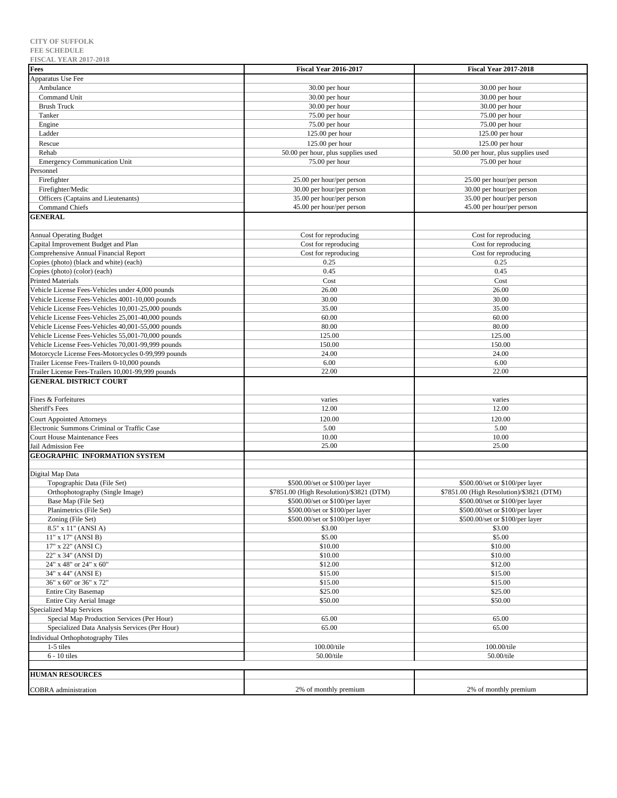| <b>FISCAL YEAR 2017-2018</b>                          |                                                        |                                           |
|-------------------------------------------------------|--------------------------------------------------------|-------------------------------------------|
| <b>Fees</b>                                           | <b>Fiscal Year 2016-2017</b>                           | <b>Fiscal Year 2017-2018</b>              |
| Apparatus Use Fee                                     |                                                        |                                           |
| Ambulance<br>Command Unit                             | 30.00 per hour                                         | 30.00 per hour                            |
| <b>Brush Truck</b>                                    | 30.00 per hour                                         | 30.00 per hour                            |
| Tanker                                                | 30.00 per hour<br>75.00 per hour                       | 30.00 per hour<br>75.00 per hour          |
| Engine                                                | 75.00 per hour                                         | 75.00 per hour                            |
| Ladder                                                | $125.00$ per hour                                      | 125.00 per hour                           |
|                                                       |                                                        |                                           |
| Rescue                                                | $125.00$ per hour                                      | 125.00 per hour                           |
| Rehab<br><b>Emergency Communication Unit</b>          | 50.00 per hour, plus supplies used                     | 50.00 per hour, plus supplies used        |
| Personnel                                             | 75.00 per hour                                         | 75.00 per hour                            |
| Firefighter                                           |                                                        | 25.00 per hour/per person                 |
| Firefighter/Medic                                     | 25.00 per hour/per person<br>30.00 per hour/per person | 30.00 per hour/per person                 |
| Officers (Captains and Lieutenants)                   | 35.00 per hour/per person                              | 35.00 per hour/per person                 |
| <b>Command Chiefs</b>                                 | 45.00 per hour/per person                              | 45.00 per hour/per person                 |
| <b>GENERAL</b>                                        |                                                        |                                           |
|                                                       |                                                        |                                           |
| <b>Annual Operating Budget</b>                        | Cost for reproducing                                   | Cost for reproducing                      |
| Capital Improvement Budget and Plan                   | Cost for reproducing                                   | Cost for reproducing                      |
| Comprehensive Annual Financial Report                 | Cost for reproducing                                   | Cost for reproducing                      |
| Copies (photo) (black and white) (each)               | 0.25                                                   | 0.25                                      |
| Copies (photo) (color) (each)                         | 0.45                                                   | 0.45                                      |
| <b>Printed Materials</b>                              | Cost                                                   | Cost                                      |
| Vehicle License Fees-Vehicles under 4,000 pounds      | 26.00                                                  | 26.00                                     |
| Vehicle License Fees-Vehicles 4001-10,000 pounds      | 30.00                                                  | 30.00                                     |
| Vehicle License Fees-Vehicles 10,001-25,000 pounds    | 35.00                                                  | 35.00                                     |
| Vehicle License Fees-Vehicles 25,001-40,000 pounds    | 60.00                                                  | 60.00                                     |
| Vehicle License Fees-Vehicles 40,001-55,000 pounds    | 80.00                                                  | 80.00                                     |
| Vehicle License Fees-Vehicles 55,001-70,000 pounds    | 125.00                                                 | 125.00                                    |
| Vehicle License Fees-Vehicles 70,001-99,999 pounds    | 150.00                                                 | 150.00                                    |
| Motorcycle License Fees-Motorcycles 0-99,999 pounds   | 24.00                                                  | 24.00                                     |
| Trailer License Fees-Trailers 0-10,000 pounds         | 6.00                                                   | 6.00                                      |
| Trailer License Fees-Trailers 10,001-99,999 pounds    | 22.00                                                  | 22.00                                     |
| <b>GENERAL DISTRICT COURT</b>                         |                                                        |                                           |
|                                                       |                                                        |                                           |
| Fines & Forfeitures                                   | varies                                                 | varies                                    |
| <b>Sheriff's Fees</b>                                 | 12.00                                                  | 12.00                                     |
| <b>Court Appointed Attorneys</b>                      | 120.00                                                 | 120.00                                    |
| Electronic Summons Criminal or Traffic Case           | 5.00                                                   | 5.00                                      |
| <b>Court House Maintenance Fees</b>                   | 10.00                                                  | 10.00                                     |
| Jail Admission Fee                                    | 25.00                                                  | 25.00                                     |
| <b>GEOGRAPHIC INFORMATION SYSTEM</b>                  |                                                        |                                           |
|                                                       |                                                        |                                           |
| Digital Map Data                                      |                                                        |                                           |
| Topographic Data (File Set)                           | \$500.00/set or \$100/per layer                        | \$500.00/set or \$100/per layer           |
| Orthophotography (Single Image)                       | \$7851.00 (High Resolution)/\$3821 (DTM)               | \$7851.00 (High Resolution)/\$3821 (DTM)  |
| Base Map (File Set)                                   | \$500.00/set or \$100/per layer                        | \$500.00/set or \$100/per layer           |
| Planimetrics (File Set)                               | \$500.00/set or \$100/per layer                        | \$500.00/set or \$100/per layer           |
| Zoning (File Set)<br>8.5" x 11" (ANSI A)              | \$500.00/set or \$100/per layer<br>\$3.00              | \$500.00/set or \$100/per layer<br>\$3.00 |
| 11" x 17" (ANSI B)                                    | \$5.00                                                 | \$5.00                                    |
| 17" x 22" (ANSI C)                                    | \$10.00                                                | \$10.00                                   |
| 22" x 34" (ANSI D)                                    | \$10.00                                                | \$10.00                                   |
| 24" x 48" or 24" x 60"                                | \$12.00                                                | \$12.00                                   |
|                                                       | \$15.00                                                | \$15.00                                   |
| 34" x 44" (ANSI E)<br>36" x 60" or 36" x 72"          | \$15.00                                                | \$15.00                                   |
| <b>Entire City Basemap</b>                            | \$25.00                                                | \$25.00                                   |
| Entire City Aerial Image                              | \$50.00                                                | \$50.00                                   |
| <b>Specialized Map Services</b>                       |                                                        |                                           |
| Special Map Production Services (Per Hour)            | 65.00                                                  | 65.00                                     |
| Specialized Data Analysis Services (Per Hour)         | 65.00                                                  | 65.00                                     |
|                                                       |                                                        |                                           |
| <b>Individual Orthophotography Tiles</b><br>1-5 tiles | 100.00/tile                                            |                                           |
| $6 - 10$ tiles                                        | 50.00/tile                                             | 100.00/tile<br>50.00/tile                 |
|                                                       |                                                        |                                           |
| <b>HUMAN RESOURCES</b>                                |                                                        |                                           |
|                                                       |                                                        |                                           |
| <b>COBRA</b> administration                           | 2% of monthly premium                                  | 2% of monthly premium                     |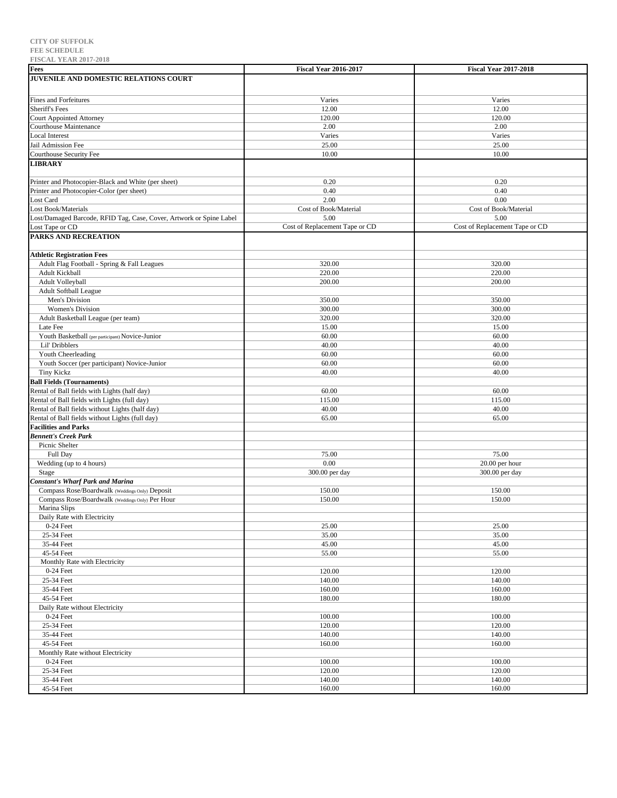| L'IOCALI LEAR AULI-AUIO<br>Fees                                     | <b>Fiscal Year 2016-2017</b>   | <b>Fiscal Year 2017-2018</b>   |
|---------------------------------------------------------------------|--------------------------------|--------------------------------|
| JUVENILE AND DOMESTIC RELATIONS COURT                               |                                |                                |
|                                                                     |                                |                                |
|                                                                     |                                |                                |
| <b>Fines and Forfeitures</b>                                        | Varies                         | Varies                         |
| Sheriff's Fees                                                      | 12.00                          | 12.00                          |
| <b>Court Appointed Attorney</b>                                     | 120.00                         | 120.00                         |
| <b>Courthouse Maintenance</b>                                       | 2.00                           | 2.00                           |
| <b>Local Interest</b>                                               | Varies                         | Varies                         |
| Jail Admission Fee                                                  | 25.00                          | 25.00                          |
| Courthouse Security Fee                                             | 10.00                          | 10.00                          |
| <b>LIBRARY</b>                                                      |                                |                                |
|                                                                     |                                |                                |
| Printer and Photocopier-Black and White (per sheet)                 | 0.20                           | 0.20                           |
| Printer and Photocopier-Color (per sheet)                           | 0.40                           | 0.40                           |
| Lost Card                                                           | 2.00                           | 0.00                           |
| Lost Book/Materials                                                 | Cost of Book/Material          | Cost of Book/Material          |
| Lost/Damaged Barcode, RFID Tag, Case, Cover, Artwork or Spine Label | 5.00                           | 5.00                           |
| Lost Tape or CD                                                     | Cost of Replacement Tape or CD | Cost of Replacement Tape or CD |
| <b>PARKS AND RECREATION</b>                                         |                                |                                |
|                                                                     |                                |                                |
| <b>Athletic Registration Fees</b>                                   |                                |                                |
| Adult Flag Football - Spring & Fall Leagues                         | 320.00                         | 320.00                         |
| Adult Kickball                                                      | 220.00                         | 220.00                         |
| Adult Volleyball                                                    | 200.00                         | 200.00                         |
| <b>Adult Softball League</b>                                        |                                |                                |
| Men's Division                                                      | 350.00                         | 350.00                         |
| Women's Division                                                    | 300.00                         | 300.00                         |
| Adult Basketball League (per team)                                  | 320.00                         | 320.00                         |
| Late Fee                                                            | 15.00                          | 15.00                          |
| Youth Basketball (per participant) Novice-Junior                    | 60.00                          | 60.00                          |
| Lil' Dribblers                                                      | 40.00                          | 40.00                          |
| Youth Cheerleading                                                  | 60.00                          | 60.00                          |
| Youth Soccer (per participant) Novice-Junior                        | 60.00                          | 60.00                          |
| <b>Tiny Kickz</b>                                                   | 40.00                          | 40.00                          |
| <b>Ball Fields (Tournaments)</b>                                    |                                |                                |
| Rental of Ball fields with Lights (half day)                        | 60.00                          | 60.00                          |
| Rental of Ball fields with Lights (full day)                        | 115.00                         | 115.00                         |
| Rental of Ball fields without Lights (half day)                     | 40.00                          | 40.00                          |
| Rental of Ball fields without Lights (full day)                     | 65.00                          | 65.00                          |
| <b>Facilities and Parks</b>                                         |                                |                                |
| <b>Bennett's Creek Park</b>                                         |                                |                                |
| Picnic Shelter                                                      |                                |                                |
| Full Day                                                            | 75.00                          | 75.00                          |
| Wedding (up to 4 hours)                                             | 0.00                           | 20.00 per hour                 |
| <b>Stage</b>                                                        | 300.00 per day                 | 300.00 per day                 |
| <b>Constant's Wharf Park and Marina</b>                             |                                |                                |
| Compass Rose/Boardwalk (Weddings Only) Deposit                      | 150.00                         | 150.00                         |
| Compass Rose/Boardwalk (Weddings Only) Per Hour                     | 150.00                         | 150.00                         |
| Marina Slips                                                        |                                |                                |
| Daily Rate with Electricity                                         |                                |                                |
| $0-24$ Feet                                                         | 25.00                          | 25.00                          |
| 25-34 Feet                                                          | 35.00                          | 35.00                          |
| 35-44 Feet                                                          | 45.00                          | 45.00                          |
| 45-54 Feet                                                          | 55.00                          | 55.00                          |
| Monthly Rate with Electricity                                       |                                |                                |
| $0-24$ Feet                                                         | 120.00                         | 120.00                         |
| 25-34 Feet                                                          | 140.00                         | 140.00                         |
| 35-44 Feet                                                          | 160.00                         | 160.00                         |
| 45-54 Feet                                                          | 180.00                         | 180.00                         |
| Daily Rate without Electricity                                      |                                |                                |
| $0-24$ Feet                                                         | 100.00                         | 100.00                         |
| 25-34 Feet                                                          | 120.00                         | 120.00                         |
| 35-44 Feet                                                          | 140.00                         | 140.00                         |
| 45-54 Feet                                                          | 160.00                         | 160.00                         |
| Monthly Rate without Electricity                                    |                                |                                |
| $0-24$ Feet                                                         | 100.00                         | 100.00                         |
| 25-34 Feet                                                          | 120.00                         | 120.00                         |
|                                                                     |                                |                                |
| 35-44 Feet                                                          | 140.00                         | 140.00                         |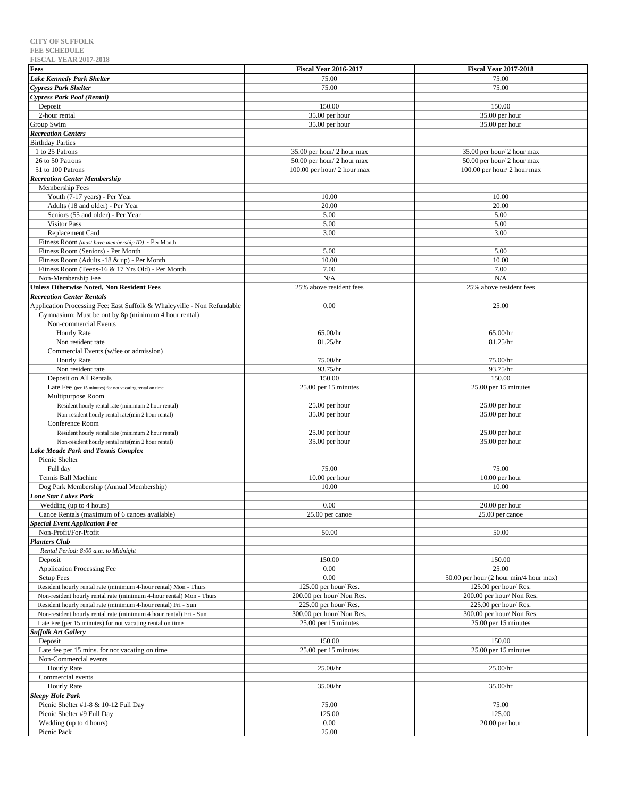| Fees                                                                                                                           | <b>Fiscal Year 2016-2017</b>                     | <b>Fiscal Year 2017-2018</b>                     |
|--------------------------------------------------------------------------------------------------------------------------------|--------------------------------------------------|--------------------------------------------------|
| <b>Lake Kennedy Park Shelter</b>                                                                                               | 75.00                                            | 75.00                                            |
| <b>Cypress Park Shelter</b>                                                                                                    | 75.00                                            | 75.00                                            |
| Cypress Park Pool (Rental)                                                                                                     |                                                  |                                                  |
| Deposit                                                                                                                        | 150.00                                           | 150.00                                           |
| 2-hour rental                                                                                                                  | 35.00 per hour                                   | 35.00 per hour                                   |
| Group Swim                                                                                                                     | $35.00$ per hour                                 | 35.00 per hour                                   |
| <b>Recreation Centers</b>                                                                                                      |                                                  |                                                  |
| <b>Birthday Parties</b>                                                                                                        |                                                  |                                                  |
| 1 to 25 Patrons                                                                                                                | 35.00 per hour/ 2 hour max                       | 35.00 per hour/ 2 hour max                       |
| 26 to 50 Patrons                                                                                                               | 50.00 per hour/2 hour max                        | 50.00 per hour/2 hour max                        |
| 51 to 100 Patrons                                                                                                              | 100.00 per hour/2 hour max                       | 100.00 per hour/ 2 hour max                      |
| <b>Recreation Center Membership</b>                                                                                            |                                                  |                                                  |
| Membership Fees<br>Youth (7-17 years) - Per Year                                                                               | 10.00                                            | 10.00                                            |
| Adults (18 and older) - Per Year                                                                                               | 20.00                                            | 20.00                                            |
| Seniors (55 and older) - Per Year                                                                                              | 5.00                                             | 5.00                                             |
| <b>Visitor Pass</b>                                                                                                            | 5.00                                             | 5.00                                             |
| Replacement Card                                                                                                               | 3.00                                             | 3.00                                             |
| Fitness Room (must have membership ID) - Per Month                                                                             |                                                  |                                                  |
| Fitness Room (Seniors) - Per Month                                                                                             | 5.00                                             | 5.00                                             |
| Fitness Room (Adults -18 & up) - Per Month                                                                                     | 10.00                                            | 10.00                                            |
| Fitness Room (Teens-16 & 17 Yrs Old) - Per Month                                                                               | 7.00                                             | 7.00                                             |
| Non-Membership Fee                                                                                                             | N/A                                              | N/A                                              |
| <b>Unless Otherwise Noted, Non Resident Fees</b>                                                                               | 25% above resident fees                          | 25% above resident fees                          |
| <b>Recreation Center Rentals</b>                                                                                               |                                                  |                                                  |
| Application Processing Fee: East Suffolk & Whaleyville - Non Refundable                                                        | 0.00                                             | 25.00                                            |
| Gymnasium: Must be out by 8p (minimum 4 hour rental)<br>Non-commercial Events                                                  |                                                  |                                                  |
| Hourly Rate                                                                                                                    | 65.00/hr                                         | 65.00/hr                                         |
| Non resident rate                                                                                                              | 81.25/hr                                         | 81.25/hr                                         |
| Commercial Events (w/fee or admission)                                                                                         |                                                  |                                                  |
| <b>Hourly Rate</b>                                                                                                             | 75.00/hr                                         | 75.00/hr                                         |
| Non resident rate                                                                                                              | 93.75/hr                                         | 93.75/hr                                         |
| Deposit on All Rentals                                                                                                         | 150.00                                           | 150.00                                           |
| Late Fee (per 15 minutes) for not vacating rental on time                                                                      | 25.00 per 15 minutes                             | 25.00 per 15 minutes                             |
| Multipurpose Room                                                                                                              |                                                  |                                                  |
| Resident hourly rental rate (minimum 2 hour rental)                                                                            | 25.00 per hour                                   | 25.00 per hour                                   |
| Non-resident hourly rental rate(min 2 hour rental)<br>Conference Room                                                          | $35.00$ per hour                                 | $35.00$ per hour                                 |
| Resident hourly rental rate (minimum 2 hour rental)                                                                            | $25.00$ per hour                                 | $25.00$ per hour                                 |
| Non-resident hourly rental rate(min 2 hour rental)                                                                             | 35.00 per hour                                   | $35.00$ per hour                                 |
| <b>Lake Meade Park and Tennis Complex</b>                                                                                      |                                                  |                                                  |
| Picnic Shelter                                                                                                                 |                                                  |                                                  |
| Full day                                                                                                                       | 75.00                                            | 75.00                                            |
| Tennis Ball Machine                                                                                                            | 10.00 per hour                                   | 10.00 per hour                                   |
| Dog Park Membership (Annual Membership)                                                                                        | 10.00                                            | 10.00                                            |
| <b>Lone Star Lakes Park</b>                                                                                                    |                                                  |                                                  |
| Wedding (up to 4 hours)                                                                                                        | 0.00                                             | $20.00$ per hour                                 |
| Canoe Rentals (maximum of 6 canoes available)                                                                                  | 25.00 per canoe                                  | 25.00 per canoe                                  |
| <b>Special Event Application Fee</b><br>Non-Profit/For-Profit                                                                  | 50.00                                            | 50.00                                            |
| <b>Planters Club</b>                                                                                                           |                                                  |                                                  |
| Rental Period: 8:00 a.m. to Midnight                                                                                           |                                                  |                                                  |
| Deposit                                                                                                                        | 150.00                                           | 150.00                                           |
| Application Processing Fee                                                                                                     | 0.00                                             | 25.00                                            |
| <b>Setup Fees</b>                                                                                                              | 0.00                                             | 50.00 per hour (2 hour min/4 hour max)           |
| Resident hourly rental rate (minimum 4-hour rental) Mon - Thurs                                                                | 125.00 per hour/Res.                             | 125.00 per hour/Res.                             |
| Non-resident hourly rental rate (minimum 4-hour rental) Mon - Thurs                                                            | 200.00 per hour/Non Res.                         | 200.00 per hour/Non Res.                         |
| Resident hourly rental rate (minimum 4-hour rental) Fri - Sun                                                                  | 225.00 per hour/Res.                             | 225.00 per hour/Res.                             |
| Non-resident hourly rental rate (minimum 4 hour rental) Fri - Sun<br>Late Fee (per 15 minutes) for not vacating rental on time | 300.00 per hour/Non Res.<br>25.00 per 15 minutes | 300.00 per hour/Non Res.<br>25.00 per 15 minutes |
| Suffolk Art Gallery                                                                                                            |                                                  |                                                  |
| Deposit                                                                                                                        | 150.00                                           | 150.00                                           |
| Late fee per 15 mins. for not vacating on time                                                                                 | 25.00 per 15 minutes                             | 25.00 per 15 minutes                             |
| Non-Commercial events                                                                                                          |                                                  |                                                  |
| <b>Hourly Rate</b>                                                                                                             | 25.00/hr                                         | 25.00/hr                                         |
| Commercial events                                                                                                              |                                                  |                                                  |
| <b>Hourly Rate</b>                                                                                                             | 35.00/hr                                         | 35.00/hr                                         |
| <b>Sleepy Hole Park</b>                                                                                                        | 75.00                                            | 75.00                                            |
| Picnic Shelter #1-8 & 10-12 Full Day<br>Picnic Shelter #9 Full Day                                                             | 125.00                                           | 125.00                                           |
| Wedding (up to 4 hours)                                                                                                        | 0.00                                             | $20.00$ per hour                                 |

Picnic Pack 25.00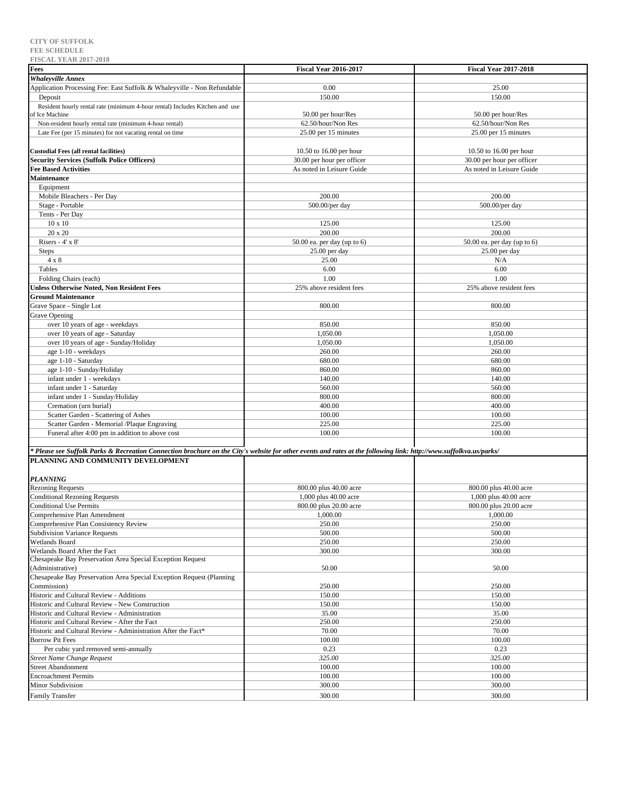| <b>FISCAL YEAR 2017-2018</b>                                                                                                                                       |                              |                              |
|--------------------------------------------------------------------------------------------------------------------------------------------------------------------|------------------------------|------------------------------|
| <b>Fees</b>                                                                                                                                                        | <b>Fiscal Year 2016-2017</b> | <b>Fiscal Year 2017-2018</b> |
| <b>Whaleyville Annex</b>                                                                                                                                           |                              |                              |
| Application Processing Fee: East Suffolk & Whaleyville - Non Refundable                                                                                            | 0.00                         | 25.00                        |
| Deposit                                                                                                                                                            | 150.00                       | 150.00                       |
| Resident hourly rental rate (minimum 4-hour rental) Includes Kitchen and use                                                                                       |                              |                              |
| of Ice Machine                                                                                                                                                     | 50.00 per hour/Res           | 50.00 per hour/Res           |
| Non-resident hourly rental rate (minimum 4-hour rental)                                                                                                            | 62.50/hour/Non Res           | 62.50/hour/Non Res           |
|                                                                                                                                                                    |                              |                              |
| Late Fee (per 15 minutes) for not vacating rental on time                                                                                                          | 25.00 per 15 minutes         | 25.00 per 15 minutes         |
|                                                                                                                                                                    |                              |                              |
| <b>Custodial Fees (all rental facilities)</b>                                                                                                                      | 10.50 to 16.00 per hour      | 10.50 to 16.00 per hour      |
| <b>Security Services (Suffolk Police Officers)</b>                                                                                                                 | 30.00 per hour per officer   | 30.00 per hour per officer   |
| <b>Fee Based Activities</b>                                                                                                                                        | As noted in Leisure Guide    | As noted in Leisure Guide    |
| Maintenance                                                                                                                                                        |                              |                              |
| Equipment                                                                                                                                                          |                              |                              |
| Mobile Bleachers - Per Day                                                                                                                                         | 200.00                       | 200.00                       |
| Stage - Portable                                                                                                                                                   | $500.00/\mathrm{per}$ day    | $500.00/\mathrm{per}$ day    |
| Tents - Per Day                                                                                                                                                    |                              |                              |
| $10 \times 10$                                                                                                                                                     | 125.00                       | 125.00                       |
| 20 x 20                                                                                                                                                            | 200.00                       | 200.00                       |
| Risers - $4'$ x $8'$                                                                                                                                               | 50.00 ea. per day (up to 6)  | 50.00 ea. per day (up to 6)  |
| <b>Steps</b>                                                                                                                                                       | 25.00 per day                | 25.00 per day                |
| $4 \times 8$                                                                                                                                                       | 25.00                        | N/A                          |
|                                                                                                                                                                    |                              |                              |
| Tables                                                                                                                                                             | 6.00                         | 6.00                         |
| Folding Chairs (each)                                                                                                                                              | 1.00                         | 1.00                         |
| <b>Jnless Otherwise Noted, Non Resident Fees</b>                                                                                                                   | 25% above resident fees      | 25% above resident fees      |
| <b>Ground Maintenance</b>                                                                                                                                          |                              |                              |
| Grave Space - Single Lot                                                                                                                                           | 800.00                       | 800.00                       |
| Grave Opening                                                                                                                                                      |                              |                              |
| over 10 years of age - weekdays                                                                                                                                    | 850.00                       | 850.00                       |
| over 10 years of age - Saturday                                                                                                                                    | 1,050.00                     | 1,050.00                     |
| over 10 years of age - Sunday/Holiday                                                                                                                              | 1,050.00                     | 1,050.00                     |
| age 1-10 - weekdays                                                                                                                                                | 260.00                       | 260.00                       |
| age 1-10 - Saturday                                                                                                                                                | 680.00                       | 680.00                       |
| age 1-10 - Sunday/Holiday                                                                                                                                          | 860.00                       | 860.00                       |
| infant under 1 - weekdays                                                                                                                                          | 140.00                       | 140.00                       |
|                                                                                                                                                                    |                              |                              |
| infant under 1 - Saturday                                                                                                                                          | 560.00                       | 560.00                       |
| infant under 1 - Sunday/Holiday                                                                                                                                    | 800.00                       | 800.00                       |
| Cremation (urn burial)                                                                                                                                             | 400.00                       | 400.00                       |
| Scatter Garden - Scattering of Ashes                                                                                                                               | 100.00                       | 100.00                       |
| Scatter Garden - Memorial /Plaque Engraving                                                                                                                        | 225.00                       | 225.00                       |
| Funeral after 4:00 pm in addition to above cost                                                                                                                    | 100.00                       | 100.00                       |
|                                                                                                                                                                    |                              |                              |
| * Please see Suffolk Parks & Recreation Connection brochure on the City's website for other events and rates at the following link: http://www.suffolkva.us/parks/ |                              |                              |
| PLANNING AND COMMUNITY DEVELOPMENT                                                                                                                                 |                              |                              |
|                                                                                                                                                                    |                              |                              |
| <b>PLANNING</b>                                                                                                                                                    |                              |                              |
| <b>Rezoning Requests</b>                                                                                                                                           | 800.00 plus 40.00 acre       | 800.00 plus 40.00 acre       |
| <b>Conditional Rezoning Requests</b>                                                                                                                               | 1,000 plus 40.00 acre        | 1,000 plus 40.00 acre        |
| <b>Conditional Use Permits</b>                                                                                                                                     | 800.00 plus 20.00 acre       | 800.00 plus 20.00 acre       |
| Comprehensive Plan Amendment                                                                                                                                       | 1,000.00                     | 1,000.00                     |
| Comprehensive Plan Consistency Review                                                                                                                              | 250.00                       | 250.00                       |
|                                                                                                                                                                    |                              |                              |
| <b>Subdivision Variance Requests</b>                                                                                                                               | 500.00                       | 500.00                       |
| Wetlands Board                                                                                                                                                     | 250.00                       | 250.00                       |
| Wetlands Board After the Fact                                                                                                                                      | 300.00                       | 300.00                       |
| Chesapeake Bay Preservation Area Special Exception Request                                                                                                         |                              |                              |
| (Administrative)                                                                                                                                                   | 50.00                        | 50.00                        |
| Chesapeake Bay Preservation Area Special Exception Request (Planning)                                                                                              |                              |                              |
| Commission)                                                                                                                                                        | 250.00                       | 250.00                       |
| Historic and Cultural Review - Additions                                                                                                                           | 150.00                       | 150.00                       |
| Historic and Cultural Review - New Construction                                                                                                                    | 150.00                       | 150.00                       |
| Historic and Cultural Review - Administration                                                                                                                      | 35.00                        | 35.00                        |
| Historic and Cultural Review - After the Fact                                                                                                                      | 250.00                       | 250.00                       |
| Historic and Cultural Review - Administration After the Fact*                                                                                                      | 70.00                        | 70.00                        |
| <b>Borrow Pit Fees</b>                                                                                                                                             | 100.00                       | 100.00                       |
| Per cubic yard removed semi-annually                                                                                                                               | 0.23                         | 0.23                         |
| <b>Street Name Change Request</b>                                                                                                                                  | 325.00                       | 325.00                       |
| <b>Street Abandonment</b>                                                                                                                                          | 100.00                       | 100.00                       |
| <b>Encroachment Permits</b>                                                                                                                                        | 100.00                       | 100.00                       |
| Minor Subdivision                                                                                                                                                  | 300.00                       | 300.00                       |
|                                                                                                                                                                    |                              |                              |

Family Transfer 300.00 300.00 300.00 300.00 300.00 300.00 300.00 300.00 300.00 300.00 300.00 300.00 300.00 300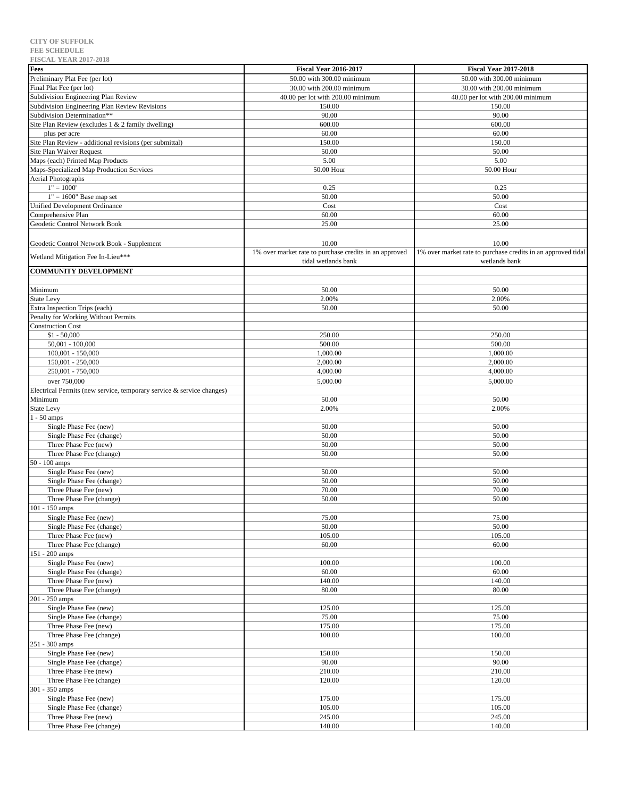| <b>FISCAL LEAR 2017-2010</b>                                          |                                                        |                                                              |
|-----------------------------------------------------------------------|--------------------------------------------------------|--------------------------------------------------------------|
| Fees                                                                  | <b>Fiscal Year 2016-2017</b>                           | <b>Fiscal Year 2017-2018</b>                                 |
| Preliminary Plat Fee (per lot)                                        | 50.00 with 300.00 minimum                              | 50.00 with 300.00 minimum                                    |
|                                                                       |                                                        |                                                              |
| Final Plat Fee (per lot)                                              | 30.00 with 200.00 minimum                              | 30.00 with 200.00 minimum                                    |
| Subdivision Engineering Plan Review                                   | 40.00 per lot with 200.00 minimum                      | 40.00 per lot with 200.00 minimum                            |
| Subdivision Engineering Plan Review Revisions                         | 150.00                                                 | 150.00                                                       |
| Subdivision Determination**                                           | 90.00                                                  | 90.00                                                        |
|                                                                       |                                                        |                                                              |
| Site Plan Review (excludes 1 & 2 family dwelling)                     | 600.00                                                 | 600.00                                                       |
| plus per acre                                                         | 60.00                                                  | 60.00                                                        |
| Site Plan Review - additional revisions (per submittal)               | 150.00                                                 | 150.00                                                       |
|                                                                       |                                                        |                                                              |
| Site Plan Waiver Request                                              | 50.00                                                  | 50.00                                                        |
| Maps (each) Printed Map Products                                      | 5.00                                                   | 5.00                                                         |
| Maps-Specialized Map Production Services                              | 50.00 Hour                                             | 50.00 Hour                                                   |
| Aerial Photographs                                                    |                                                        |                                                              |
|                                                                       |                                                        |                                                              |
| $1" = 1000'$                                                          | 0.25                                                   | 0.25                                                         |
| $1" = 1600"$ Base map set                                             | 50.00                                                  | 50.00                                                        |
| <b>Unified Development Ordinance</b>                                  | Cost                                                   | Cost                                                         |
|                                                                       |                                                        |                                                              |
| Comprehensive Plan                                                    | 60.00                                                  | 60.00                                                        |
| Geodetic Control Network Book                                         | 25.00                                                  | 25.00                                                        |
|                                                                       |                                                        |                                                              |
|                                                                       |                                                        |                                                              |
| Geodetic Control Network Book - Supplement                            | 10.00                                                  | 10.00                                                        |
|                                                                       | 1% over market rate to purchase credits in an approved | 1% over market rate to purchase credits in an approved tidal |
| Wetland Mitigation Fee In-Lieu***                                     | tidal wetlands bank                                    | wetlands bank                                                |
|                                                                       |                                                        |                                                              |
| <b>COMMUNITY DEVELOPMENT</b>                                          |                                                        |                                                              |
|                                                                       |                                                        |                                                              |
| Minimum                                                               | 50.00                                                  | 50.00                                                        |
|                                                                       |                                                        |                                                              |
| <b>State Levy</b>                                                     | 2.00%                                                  | 2.00%                                                        |
| Extra Inspection Trips (each)                                         | 50.00                                                  | 50.00                                                        |
| Penalty for Working Without Permits                                   |                                                        |                                                              |
|                                                                       |                                                        |                                                              |
| <b>Construction Cost</b>                                              |                                                        |                                                              |
| $$1 - 50,000$                                                         | 250.00                                                 | 250.00                                                       |
| $50,001 - 100,000$                                                    | 500.00                                                 | 500.00                                                       |
|                                                                       |                                                        |                                                              |
| $100,001 - 150,000$                                                   | 1,000.00                                               | 1,000.00                                                     |
| $150,001 - 250,000$                                                   | 2,000.00                                               | 2,000.00                                                     |
| 250,001 - 750,000                                                     | 4,000.00                                               | 4,000.00                                                     |
|                                                                       |                                                        |                                                              |
| over 750,000                                                          | 5,000.00                                               | 5,000.00                                                     |
| Electrical Permits (new service, temporary service & service changes) |                                                        |                                                              |
| Minimum                                                               | 50.00                                                  | 50.00                                                        |
|                                                                       |                                                        |                                                              |
| State Levy                                                            | 2.00%                                                  | 2.00%                                                        |
| $1 - 50$ amps                                                         |                                                        |                                                              |
| Single Phase Fee (new)                                                | 50.00                                                  | 50.00                                                        |
|                                                                       |                                                        |                                                              |
| Single Phase Fee (change)                                             | 50.00                                                  | 50.00                                                        |
| Three Phase Fee (new)                                                 | 50.00                                                  | 50.00                                                        |
| Three Phase Fee (change)                                              | 50.00                                                  | 50.00                                                        |
|                                                                       |                                                        |                                                              |
| 50 - 100 amps                                                         |                                                        |                                                              |
| Single Phase Fee (new)                                                | 50.00                                                  | 50.00                                                        |
| Single Phase Fee (change)                                             | 50.00                                                  | 50.00                                                        |
| Three Phase Fee (new)                                                 |                                                        |                                                              |
|                                                                       | 70.00                                                  | 70.00                                                        |
| Three Phase Fee (change)                                              | 50.00                                                  | 50.00                                                        |
| 101 - 150 amps                                                        |                                                        |                                                              |
| Single Phase Fee (new)                                                | 75.00                                                  | 75.00                                                        |
|                                                                       |                                                        |                                                              |
| Single Phase Fee (change)                                             | 50.00                                                  | 50.00                                                        |
| Three Phase Fee (new)                                                 | 105.00                                                 | 105.00                                                       |
| Three Phase Fee (change)                                              | 60.00                                                  | 60.00                                                        |
|                                                                       |                                                        |                                                              |
| 151 - 200 amps                                                        |                                                        |                                                              |
| Single Phase Fee (new)                                                | 100.00                                                 | 100.00                                                       |
| Single Phase Fee (change)                                             | 60.00                                                  | 60.00                                                        |
| Three Phase Fee (new)                                                 | 140.00                                                 | 140.00                                                       |
|                                                                       |                                                        |                                                              |
| Three Phase Fee (change)                                              | 80.00                                                  | 80.00                                                        |
| 201 - 250 amps                                                        |                                                        |                                                              |
| Single Phase Fee (new)                                                | 125.00                                                 | 125.00                                                       |
|                                                                       |                                                        |                                                              |
| Single Phase Fee (change)                                             | 75.00                                                  | 75.00                                                        |
| Three Phase Fee (new)                                                 | 175.00                                                 | 175.00                                                       |
| Three Phase Fee (change)                                              | 100.00                                                 | 100.00                                                       |
|                                                                       |                                                        |                                                              |
| 251 - 300 amps                                                        |                                                        |                                                              |
| Single Phase Fee (new)                                                | 150.00                                                 | 150.00                                                       |
| Single Phase Fee (change)                                             | 90.00                                                  | 90.00                                                        |
|                                                                       |                                                        |                                                              |
| Three Phase Fee (new)                                                 | 210.00                                                 | 210.00                                                       |
| Three Phase Fee (change)                                              | 120.00                                                 | 120.00                                                       |
| 301 - 350 amps                                                        |                                                        |                                                              |
| Single Phase Fee (new)                                                | 175.00                                                 | 175.00                                                       |
|                                                                       |                                                        |                                                              |
| Single Phase Fee (change)                                             | 105.00                                                 | 105.00                                                       |
| Three Phase Fee (new)                                                 | 245.00                                                 | 245.00                                                       |
| Three Phase Fee (change)                                              | 140.00                                                 | 140.00                                                       |
|                                                                       |                                                        |                                                              |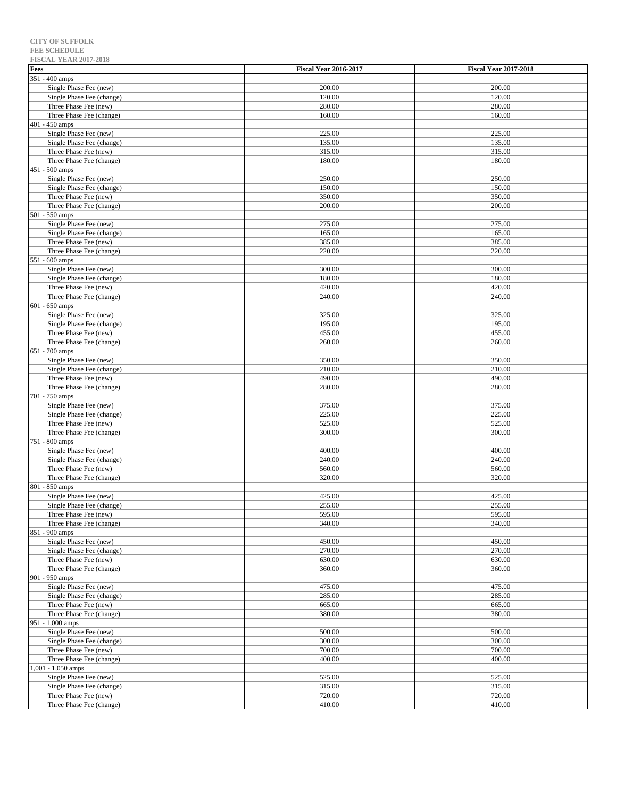| <b>FISCAL YEAR 2017-2018</b>                        |                              |                              |
|-----------------------------------------------------|------------------------------|------------------------------|
| Fees                                                | <b>Fiscal Year 2016-2017</b> | <b>Fiscal Year 2017-2018</b> |
| 351 - 400 amps                                      |                              |                              |
| Single Phase Fee (new)                              | 200.00                       | 200.00                       |
| Single Phase Fee (change)<br>Three Phase Fee (new)  | 120.00<br>280.00             | 120.00<br>280.00             |
| Three Phase Fee (change)                            | 160.00                       | 160.00                       |
| 401 - 450 amps                                      |                              |                              |
| Single Phase Fee (new)                              | 225.00                       | 225.00                       |
| Single Phase Fee (change)                           | 135.00                       | 135.00                       |
| Three Phase Fee (new)                               | 315.00                       | 315.00                       |
| Three Phase Fee (change)                            | 180.00                       | 180.00                       |
| 451 - 500 amps                                      |                              |                              |
| Single Phase Fee (new)                              | 250.00                       | 250.00                       |
| Single Phase Fee (change)                           | 150.00                       | 150.00                       |
| Three Phase Fee (new)                               | 350.00                       | 350.00                       |
| Three Phase Fee (change)                            | 200.00                       | 200.00                       |
| 501 - 550 amps                                      |                              |                              |
| Single Phase Fee (new)<br>Single Phase Fee (change) | 275.00<br>165.00             | 275.00<br>165.00             |
| Three Phase Fee (new)                               | 385.00                       | 385.00                       |
| Three Phase Fee (change)                            | 220.00                       | 220.00                       |
| 551 - 600 amps                                      |                              |                              |
| Single Phase Fee (new)                              | 300.00                       | 300.00                       |
| Single Phase Fee (change)                           | 180.00                       | 180.00                       |
| Three Phase Fee (new)                               | 420.00                       | 420.00                       |
| Three Phase Fee (change)                            | 240.00                       | 240.00                       |
| 601 - 650 amps                                      |                              |                              |
| Single Phase Fee (new)                              | 325.00                       | 325.00                       |
| Single Phase Fee (change)                           | 195.00                       | 195.00                       |
| Three Phase Fee (new)                               | 455.00                       | 455.00                       |
| Three Phase Fee (change)                            | 260.00                       | 260.00                       |
| 651 - 700 amps<br>Single Phase Fee (new)            |                              | 350.00                       |
| Single Phase Fee (change)                           | 350.00<br>210.00             | 210.00                       |
| Three Phase Fee (new)                               | 490.00                       | 490.00                       |
| Three Phase Fee (change)                            | 280.00                       | 280.00                       |
| 701 - 750 amps                                      |                              |                              |
| Single Phase Fee (new)                              | 375.00                       | 375.00                       |
| Single Phase Fee (change)                           | 225.00                       | 225.00                       |
| Three Phase Fee (new)                               | 525.00                       | 525.00                       |
| Three Phase Fee (change)                            | 300.00                       | 300.00                       |
| 751 - 800 amps                                      |                              |                              |
| Single Phase Fee (new)                              | 400.00                       | 400.00                       |
| Single Phase Fee (change)                           | 240.00                       | 240.00                       |
| Three Phase Fee (new)                               | 560.00                       | 560.00<br>320.00             |
| Three Phase Fee (change)<br>801 - 850 amps          | 320.00                       |                              |
| Single Phase Fee (new)                              | 425.00                       | 425.00                       |
| Single Phase Fee (change)                           | 255.00                       | 255.00                       |
| Three Phase Fee (new)                               | 595.00                       | 595.00                       |
| Three Phase Fee (change)                            | 340.00                       | 340.00                       |
| 851 - 900 amps                                      |                              |                              |
| Single Phase Fee (new)                              | 450.00                       | 450.00                       |
| Single Phase Fee (change)                           | 270.00                       | 270.00                       |
| Three Phase Fee (new)                               | 630.00                       | 630.00                       |
| Three Phase Fee (change)                            | 360.00                       | 360.00                       |
| 901 - 950 amps                                      |                              |                              |
| Single Phase Fee (new)                              | 475.00                       | 475.00                       |
| Single Phase Fee (change)                           | 285.00                       | 285.00                       |
| Three Phase Fee (new)<br>Three Phase Fee (change)   | 665.00<br>380.00             | 665.00<br>380.00             |
| 951 - 1,000 amps                                    |                              |                              |
| Single Phase Fee (new)                              | 500.00                       | 500.00                       |
| Single Phase Fee (change)                           | 300.00                       | 300.00                       |
| Three Phase Fee (new)                               | 700.00                       | 700.00                       |
| Three Phase Fee (change)                            | 400.00                       | 400.00                       |
| 1,001 - 1,050 amps                                  |                              |                              |
| Single Phase Fee (new)                              | 525.00                       | 525.00                       |
| Single Phase Fee (change)                           | 315.00                       | 315.00                       |
| Three Phase Fee (new)                               | 720.00                       | 720.00                       |
| Three Phase Fee (change)                            | 410.00                       | 410.00                       |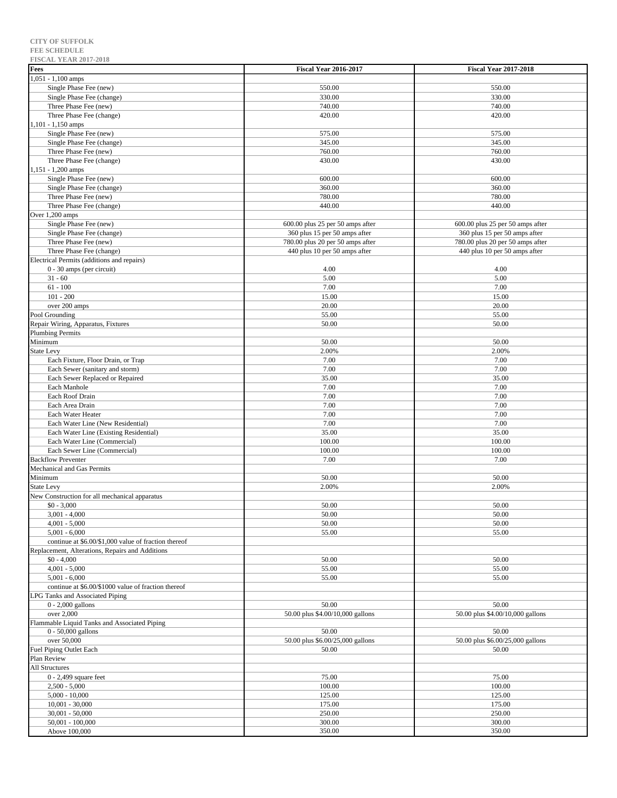| <b>FISCAL YEAR 2017-2018</b>                         |                                  |                                  |
|------------------------------------------------------|----------------------------------|----------------------------------|
| Fees                                                 | <b>Fiscal Year 2016-2017</b>     | <b>Fiscal Year 2017-2018</b>     |
| $1,051 - 1,100$ amps                                 |                                  |                                  |
| Single Phase Fee (new)                               | 550.00                           | 550.00                           |
| Single Phase Fee (change)                            | 330.00                           | 330.00                           |
|                                                      |                                  |                                  |
| Three Phase Fee (new)                                | 740.00                           | 740.00                           |
| Three Phase Fee (change)                             | 420.00                           | 420.00                           |
| 1,101 - 1,150 amps                                   |                                  |                                  |
| Single Phase Fee (new)                               | 575.00                           | 575.00                           |
| Single Phase Fee (change)                            | 345.00                           | 345.00                           |
| Three Phase Fee (new)                                | 760.00                           | 760.00                           |
| Three Phase Fee (change)                             | 430.00                           | 430.00                           |
| 1,151 - 1,200 amps                                   |                                  |                                  |
| Single Phase Fee (new)                               | 600.00                           | 600.00                           |
| Single Phase Fee (change)                            | 360.00                           | 360.00                           |
| Three Phase Fee (new)                                | 780.00                           | 780.00                           |
|                                                      |                                  |                                  |
| Three Phase Fee (change)                             | 440.00                           | 440.00                           |
| Over 1,200 amps                                      |                                  |                                  |
| Single Phase Fee (new)                               | 600.00 plus 25 per 50 amps after | 600.00 plus 25 per 50 amps after |
| Single Phase Fee (change)                            | 360 plus 15 per 50 amps after    | 360 plus 15 per 50 amps after    |
| Three Phase Fee (new)                                | 780.00 plus 20 per 50 amps after | 780.00 plus 20 per 50 amps after |
| Three Phase Fee (change)                             | 440 plus 10 per 50 amps after    | 440 plus 10 per 50 amps after    |
| Electrical Permits (additions and repairs)           |                                  |                                  |
| 0 - 30 amps (per circuit)                            | 4.00                             | 4.00                             |
| $31 - 60$                                            | 5.00                             | 5.00                             |
| $61 - 100$                                           | 7.00                             | 7.00                             |
|                                                      |                                  |                                  |
| $101 - 200$                                          | 15.00                            | 15.00                            |
| over 200 amps                                        | 20.00                            | 20.00                            |
| Pool Grounding                                       | 55.00                            | 55.00                            |
| Repair Wiring, Apparatus, Fixtures                   | 50.00                            | 50.00                            |
| Plumbing Permits                                     |                                  |                                  |
| Minimum                                              | 50.00                            | 50.00                            |
| <b>State Levy</b>                                    | 2.00%                            | 2.00%                            |
| Each Fixture, Floor Drain, or Trap                   | 7.00                             | 7.00                             |
| Each Sewer (sanitary and storm)                      | 7.00                             | 7.00                             |
| Each Sewer Replaced or Repaired                      | 35.00                            | 35.00                            |
| Each Manhole                                         | 7.00                             | 7.00                             |
|                                                      |                                  |                                  |
| Each Roof Drain                                      | 7.00                             | 7.00                             |
| Each Area Drain                                      | 7.00                             | 7.00                             |
| Each Water Heater                                    | 7.00                             | 7.00                             |
| Each Water Line (New Residential)                    | 7.00                             | 7.00                             |
| Each Water Line (Existing Residential)               | 35.00                            | 35.00                            |
| Each Water Line (Commercial)                         | 100.00                           | 100.00                           |
| Each Sewer Line (Commercial)                         | 100.00                           | 100.00                           |
| <b>Backflow Preventer</b>                            | 7.00                             | 7.00                             |
| Mechanical and Gas Permits                           |                                  |                                  |
| Minimum                                              | 50.00                            | 50.00                            |
| <b>State Levy</b>                                    |                                  | 2.00%                            |
|                                                      | 2.00%                            |                                  |
| New Construction for all mechanical apparatus        |                                  |                                  |
| $$0 - 3,000$                                         | 50.00                            | 50.00                            |
| 3,001 - 4,000                                        | 50.00                            | 50.00                            |
| $4,001 - 5,000$                                      | 50.00                            | 50.00                            |
| $5,001 - 6,000$                                      | 55.00                            | 55.00                            |
| continue at \$6.00/\$1,000 value of fraction thereof |                                  |                                  |
| Replacement, Alterations, Repairs and Additions      |                                  |                                  |
| $$0 - 4,000$                                         | 50.00                            | 50.00                            |
| $4,001 - 5,000$                                      | 55.00                            | 55.00                            |
| $5,001 - 6,000$                                      | 55.00                            | 55.00                            |
| continue at \$6.00/\$1000 value of fraction thereof  |                                  |                                  |
| LPG Tanks and Associated Piping                      |                                  |                                  |
|                                                      |                                  |                                  |
| $0 - 2,000$ gallons                                  | 50.00                            | 50.00                            |
| over 2,000                                           | 50.00 plus \$4.00/10,000 gallons | 50.00 plus \$4.00/10,000 gallons |
| Flammable Liquid Tanks and Associated Piping         |                                  |                                  |
| $0 - 50,000$ gallons                                 | 50.00                            | 50.00                            |
| over 50,000                                          | 50.00 plus \$6.00/25,000 gallons | 50.00 plus \$6.00/25,000 gallons |
| Fuel Piping Outlet Each                              | 50.00                            | 50.00                            |
| Plan Review                                          |                                  |                                  |
| <b>All Structures</b>                                |                                  |                                  |
| 0 - 2,499 square feet                                | 75.00                            | 75.00                            |
| $2,500 - 5,000$                                      | 100.00                           | 100.00                           |
| $5,000 - 10,000$                                     | 125.00                           | 125.00                           |
|                                                      |                                  |                                  |
| $10,001 - 30,000$                                    | 175.00                           | 175.00                           |
| $30,001 - 50,000$                                    | 250.00                           | 250.00                           |
| $50,001 - 100,000$                                   | 300.00                           | 300.00                           |
| Above 100,000                                        | 350.00                           | 350.00                           |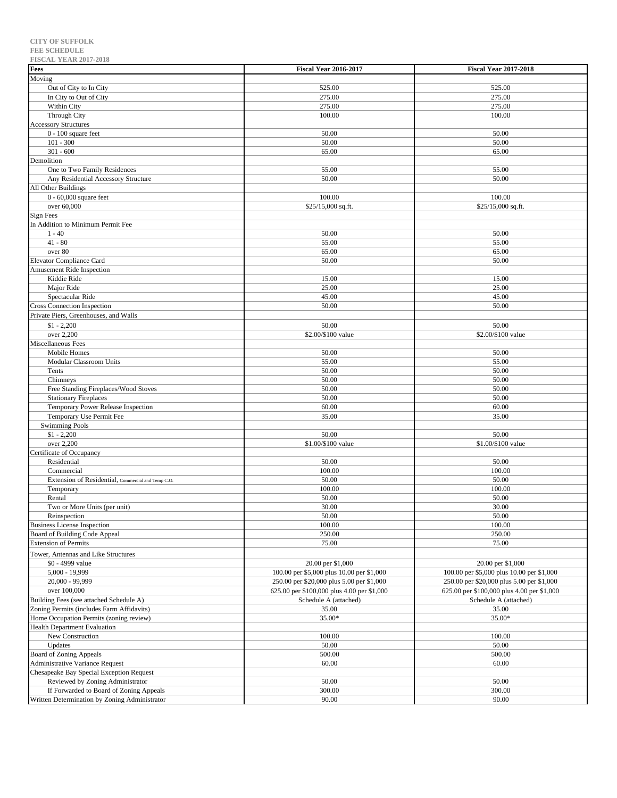| Fees                                               | <b>Fiscal Year 2016-2017</b>               | <b>Fiscal Year 2017-2018</b>               |
|----------------------------------------------------|--------------------------------------------|--------------------------------------------|
| Moving                                             |                                            |                                            |
| Out of City to In City                             | 525.00                                     | 525.00                                     |
| In City to Out of City                             | 275.00                                     | 275.00                                     |
| Within City                                        | 275.00                                     | 275.00                                     |
| Through City                                       | 100.00                                     | 100.00                                     |
| <b>Accessory Structures</b>                        |                                            |                                            |
| $0 - 100$ square feet                              | 50.00                                      | 50.00                                      |
| $101 - 300$                                        | 50.00                                      | 50.00                                      |
| $301 - 600$                                        | 65.00                                      | 65.00                                      |
| Demolition                                         |                                            |                                            |
| One to Two Family Residences                       | 55.00                                      | 55.00                                      |
| Any Residential Accessory Structure                | 50.00                                      | 50.00                                      |
| All Other Buildings                                |                                            |                                            |
| 0 - 60,000 square feet                             | 100.00                                     | 100.00                                     |
| over 60,000                                        | \$25/15,000 sq.ft.                         | \$25/15,000 sq.ft.                         |
| <b>Sign Fees</b>                                   |                                            |                                            |
| In Addition to Minimum Permit Fee                  |                                            |                                            |
| $1 - 40$                                           | 50.00                                      | 50.00                                      |
| $41 - 80$                                          | 55.00                                      | 55.00                                      |
| over 80                                            | 65.00                                      | 65.00                                      |
| <b>Elevator Compliance Card</b>                    | 50.00                                      | 50.00                                      |
| Amusement Ride Inspection                          |                                            |                                            |
| Kiddie Ride                                        | 15.00                                      | 15.00                                      |
| Major Ride                                         | 25.00                                      | 25.00                                      |
| Spectacular Ride                                   | 45.00                                      | 45.00                                      |
| <b>Cross Connection Inspection</b>                 | 50.00                                      | 50.00                                      |
| Private Piers, Greenhouses, and Walls              |                                            |                                            |
| $$1 - 2,200$                                       | 50.00                                      | 50.00                                      |
| over 2,200                                         | \$2.00/\$100 value                         | \$2.00/\$100 value                         |
| Miscellaneous Fees                                 |                                            |                                            |
| Mobile Homes                                       | 50.00                                      | 50.00                                      |
| Modular Classroom Units                            | 55.00                                      | 55.00                                      |
| Tents                                              | 50.00                                      | 50.00                                      |
| Chimneys                                           | 50.00                                      | 50.00                                      |
| Free Standing Fireplaces/Wood Stoves               | 50.00                                      | 50.00                                      |
| <b>Stationary Fireplaces</b>                       | 50.00                                      | 50.00                                      |
| Temporary Power Release Inspection                 | 60.00<br>35.00                             | 60.00<br>35.00                             |
| Temporary Use Permit Fee<br><b>Swimming Pools</b>  |                                            |                                            |
| $$1 - 2,200$                                       | 50.00                                      | 50.00                                      |
| over 2,200                                         | \$1.00/\$100 value                         | \$1.00/\$100 value                         |
| Certificate of Occupancy                           |                                            |                                            |
| Residential                                        | 50.00                                      | 50.00                                      |
| Commercial                                         | 100.00                                     | 100.00                                     |
| Extension of Residential, Commercial and Temp C.O. | 50.00                                      | 50.00                                      |
| Temporary                                          | 100.00                                     | 100.00                                     |
| Rental                                             | 50.00                                      | 50.00                                      |
| Two or More Units (per unit)                       | 30.00                                      | 30.00                                      |
| Reinspection                                       | 50.00                                      | 50.00                                      |
| <b>Business License Inspection</b>                 | 100.00                                     | 100.00                                     |
| Board of Building Code Appeal                      | 250.00                                     | 250.00                                     |
| <b>Extension of Permits</b>                        | 75.00                                      | 75.00                                      |
| Tower, Antennas and Like Structures                |                                            |                                            |
| \$0 - 4999 value                                   | 20.00 per \$1,000                          | 20.00 per \$1,000                          |
| 5,000 - 19,999                                     | 100.00 per \$5,000 plus 10.00 per \$1,000  | 100.00 per \$5,000 plus 10.00 per \$1,000  |
| 20,000 - 99,999                                    | 250.00 per \$20,000 plus 5.00 per \$1,000  | 250.00 per \$20,000 plus 5.00 per \$1,000  |
| over 100,000                                       | 625.00 per \$100,000 plus 4.00 per \$1,000 | 625.00 per \$100,000 plus 4.00 per \$1,000 |
| Building Fees (see attached Schedule A)            | Schedule A (attached)                      | Schedule A (attached)                      |
| Zoning Permits (includes Farm Affidavits)          | 35.00                                      | 35.00                                      |
| Home Occupation Permits (zoning review)            | 35.00*                                     | 35.00*                                     |
| <b>Health Department Evaluation</b>                |                                            |                                            |
| New Construction                                   | 100.00                                     | 100.00                                     |
| Updates                                            | 50.00                                      | 50.00                                      |
| <b>Board of Zoning Appeals</b>                     | 500.00                                     | 500.00                                     |
| <b>Administrative Variance Request</b>             | 60.00                                      | 60.00                                      |
| Chesapeake Bay Special Exception Request           |                                            |                                            |
| Reviewed by Zoning Administrator                   | 50.00                                      | 50.00                                      |
| If Forwarded to Board of Zoning Appeals            | 300.00                                     | 300.00                                     |
| Written Determination by Zoning Administrator      | 90.00                                      | 90.00                                      |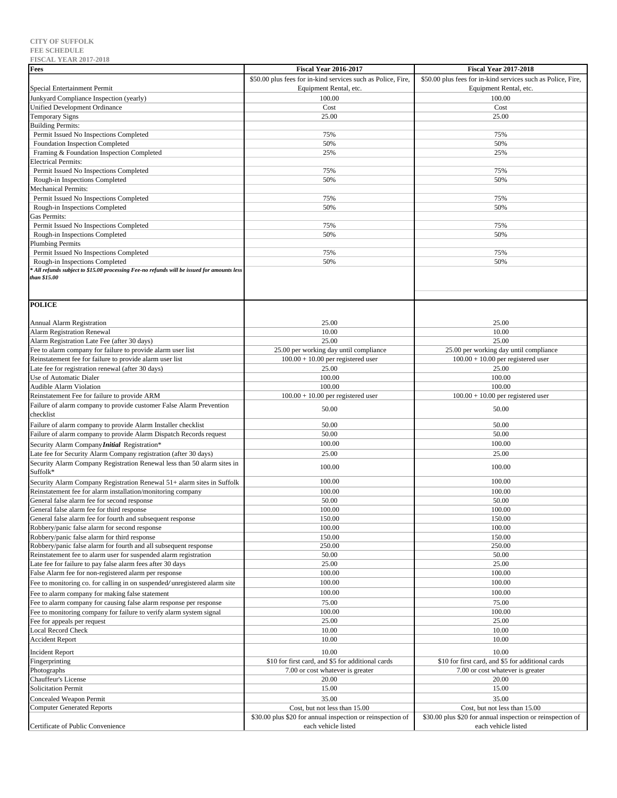| <b>Fees</b>                                                                                                                    | <b>Fiscal Year 2016-2017</b>                                                          | <b>Fiscal Year 2017-2018</b>                                                          |
|--------------------------------------------------------------------------------------------------------------------------------|---------------------------------------------------------------------------------------|---------------------------------------------------------------------------------------|
|                                                                                                                                | \$50.00 plus fees for in-kind services such as Police, Fire,                          | \$50.00 plus fees for in-kind services such as Police, Fire,                          |
| Special Entertainment Permit                                                                                                   | Equipment Rental, etc.                                                                | Equipment Rental, etc.                                                                |
| Junkyard Compliance Inspection (yearly)                                                                                        | 100.00                                                                                | 100.00                                                                                |
| <b>Unified Development Ordinance</b>                                                                                           | Cost                                                                                  | Cost                                                                                  |
| <b>Temporary Signs</b><br><b>Building Permits:</b>                                                                             | 25.00                                                                                 | 25.00                                                                                 |
| Permit Issued No Inspections Completed                                                                                         | 75%                                                                                   | 75%                                                                                   |
| Foundation Inspection Completed                                                                                                | 50%                                                                                   | 50%                                                                                   |
| Framing & Foundation Inspection Completed                                                                                      | 25%                                                                                   | 25%                                                                                   |
| <b>Electrical Permits:</b>                                                                                                     |                                                                                       |                                                                                       |
| Permit Issued No Inspections Completed                                                                                         | 75%                                                                                   | 75%                                                                                   |
| Rough-in Inspections Completed<br>Mechanical Permits:                                                                          | 50%                                                                                   | 50%                                                                                   |
| Permit Issued No Inspections Completed                                                                                         | 75%                                                                                   | 75%                                                                                   |
| Rough-in Inspections Completed                                                                                                 | 50%                                                                                   | 50%                                                                                   |
| Gas Permits:                                                                                                                   |                                                                                       |                                                                                       |
| Permit Issued No Inspections Completed                                                                                         | 75%                                                                                   | 75%                                                                                   |
| Rough-in Inspections Completed<br><b>Plumbing Permits</b>                                                                      | 50%                                                                                   | 50%                                                                                   |
| Permit Issued No Inspections Completed                                                                                         | 75%                                                                                   | 75%                                                                                   |
| Rough-in Inspections Completed                                                                                                 | 50%                                                                                   | 50%                                                                                   |
| All refunds subject to \$15.00 processing Fee-no refunds will be issued for amounts less                                       |                                                                                       |                                                                                       |
| than \$15.00                                                                                                                   |                                                                                       |                                                                                       |
|                                                                                                                                |                                                                                       |                                                                                       |
| <b>POLICE</b>                                                                                                                  |                                                                                       |                                                                                       |
|                                                                                                                                |                                                                                       |                                                                                       |
| <b>Annual Alarm Registration</b>                                                                                               | 25.00                                                                                 | 25.00                                                                                 |
| <b>Alarm Registration Renewal</b>                                                                                              | 10.00                                                                                 | 10.00                                                                                 |
| Alarm Registration Late Fee (after 30 days)<br>Fee to alarm company for failure to provide alarm user list                     | 25.00<br>25.00 per working day until compliance                                       | 25.00<br>25.00 per working day until compliance                                       |
| Reinstatement fee for failure to provide alarm user list                                                                       | $100.00 + 10.00$ per registered user                                                  | $100.00 + 10.00$ per registered user                                                  |
| Late fee for registration renewal (after 30 days)                                                                              | 25.00                                                                                 | 25.00                                                                                 |
| Use of Automatic Dialer                                                                                                        | 100.00                                                                                | 100.00                                                                                |
| Audible Alarm Violation                                                                                                        | 100.00                                                                                | 100.00                                                                                |
| Reinstatement Fee for failure to provide ARM                                                                                   | $100.00 + 10.00$ per registered user                                                  | $100.00 + 10.00$ per registered user                                                  |
| Failure of alarm company to provide customer False Alarm Prevention<br>checklist                                               | 50.00                                                                                 | 50.00                                                                                 |
| Failure of alarm company to provide Alarm Installer checklist                                                                  | 50.00                                                                                 | 50.00                                                                                 |
| Failure of alarm company to provide Alarm Dispatch Records request                                                             | 50.00                                                                                 | 50.00                                                                                 |
| Security Alarm Company Initial Registration*                                                                                   | 100.00                                                                                | 100.00                                                                                |
| Late fee for Security Alarm Company registration (after 30 days)                                                               | 25.00                                                                                 | 25.00                                                                                 |
| Security Alarm Company Registration Renewal less than 50 alarm sites in                                                        | 100.00                                                                                | 100.00                                                                                |
| Suffolk*                                                                                                                       |                                                                                       |                                                                                       |
| Security Alarm Company Registration Renewal 51+ alarm sites in Suffolk                                                         | 100.00                                                                                | 100.00                                                                                |
| Reinstatement fee for alarm installation/monitoring company                                                                    | 100.00<br>50.00                                                                       | 100.00<br>50.00                                                                       |
| General false alarm fee for second response<br>General false alarm fee for third response                                      | 100.00                                                                                | 100.00                                                                                |
| General false alarm fee for fourth and subsequent response                                                                     | 150.00                                                                                | 150.00                                                                                |
| Robbery/panic false alarm for second response                                                                                  | 100.00                                                                                | 100.00                                                                                |
| Robbery/panic false alarm for third response                                                                                   | 150.00                                                                                | 150.00                                                                                |
| Robbery/panic false alarm for fourth and all subsequent response                                                               | 250.00                                                                                | 250.00                                                                                |
| Reinstatement fee to alarm user for suspended alarm registration<br>Late fee for failure to pay false alarm fees after 30 days | 50.00<br>25.00                                                                        | 50.00<br>25.00                                                                        |
| False Alarm fee for non-registered alarm per response                                                                          | 100.00                                                                                | 100.00                                                                                |
| Fee to monitoring co. for calling in on suspended/unregistered alarm site                                                      | 100.00                                                                                | 100.00                                                                                |
| Fee to alarm company for making false statement                                                                                | 100.00                                                                                | 100.00                                                                                |
| Fee to alarm company for causing false alarm response per response                                                             | 75.00                                                                                 | 75.00                                                                                 |
| Fee to monitoring company for failure to verify alarm system signal                                                            | 100.00                                                                                | 100.00                                                                                |
| Fee for appeals per request                                                                                                    | 25.00                                                                                 | 25.00                                                                                 |
| <b>Local Record Check</b>                                                                                                      | 10.00                                                                                 | 10.00                                                                                 |
| <b>Accident Report</b>                                                                                                         | 10.00                                                                                 | 10.00                                                                                 |
| <b>Incident Report</b>                                                                                                         | 10.00                                                                                 | 10.00                                                                                 |
| Fingerprinting<br>Photographs                                                                                                  | \$10 for first card, and \$5 for additional cards<br>7.00 or cost whatever is greater | \$10 for first card, and \$5 for additional cards<br>7.00 or cost whatever is greater |
| Chauffeur's License                                                                                                            | 20.00                                                                                 | 20.00                                                                                 |
| <b>Solicitation Permit</b>                                                                                                     | 15.00                                                                                 | 15.00                                                                                 |
| Concealed Weapon Permit                                                                                                        | 35.00                                                                                 | 35.00                                                                                 |
| <b>Computer Generated Reports</b>                                                                                              | Cost, but not less than 15.00                                                         | Cost, but not less than 15.00                                                         |
|                                                                                                                                | \$30.00 plus \$20 for annual inspection or reinspection of                            | \$30.00 plus \$20 for annual inspection or reinspection of                            |
| Certificate of Public Convenience                                                                                              | each vehicle listed                                                                   | each vehicle listed                                                                   |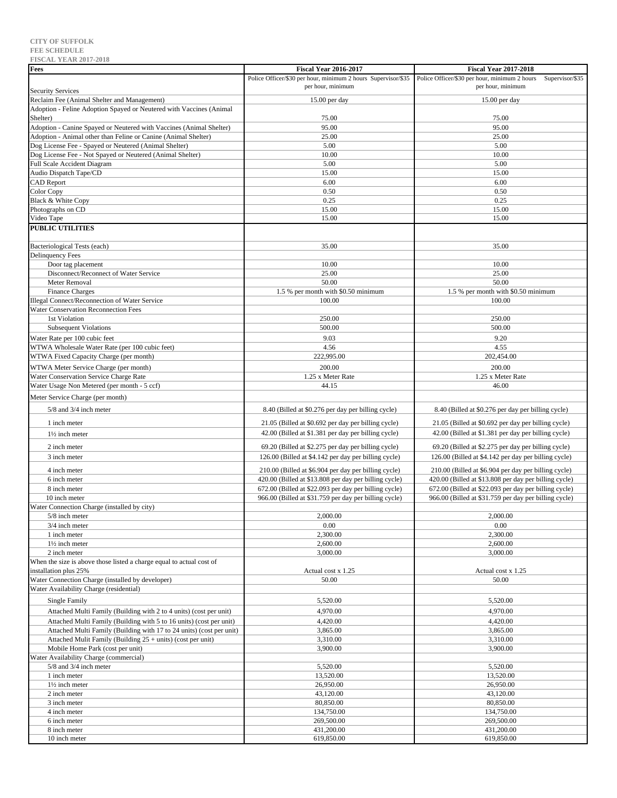# **FEE SCHEDULE FISCAL YEAR 2017-2018 Fees Fiscal Year 2016-2017 Fiscal Year 2017-2018** Security Services Police Officer/\$30 per hour, minimum 2 hours Supervisor/\$35 | Police Officer/\$30 per hour, minimum 2 hours Supervisor/\$35 Adoption - Feline Adoption Spayed or Neutered with Vaccines (Animal

| <b>Security Services</b>                                              | per hour, minimum                                     | per hour, minimum                                     |
|-----------------------------------------------------------------------|-------------------------------------------------------|-------------------------------------------------------|
| Reclaim Fee (Animal Shelter and Management)                           | 15.00 per day                                         | $15.00$ per day                                       |
| Adoption - Feline Adoption Spayed or Neutered with Vaccines (Animal   |                                                       |                                                       |
| Shelter)                                                              | 75.00                                                 | 75.00                                                 |
| Adoption - Canine Spayed or Neutered with Vaccines (Animal Shelter)   | 95.00                                                 | 95.00                                                 |
| Adoption - Animal other than Feline or Canine (Animal Shelter)        | 25.00                                                 | 25.00                                                 |
| Dog License Fee - Spayed or Neutered (Animal Shelter)                 | 5.00                                                  | 5.00                                                  |
| Dog License Fee - Not Spayed or Neutered (Animal Shelter)             | 10.00                                                 | 10.00                                                 |
| <b>Full Scale Accident Diagram</b>                                    | 5.00                                                  | 5.00                                                  |
| Audio Dispatch Tape/CD                                                | 15.00                                                 | 15.00                                                 |
| <b>CAD Report</b>                                                     | 6.00                                                  | 6.00                                                  |
| Color Copy<br>Black & White Copy                                      | 0.50<br>0.25                                          | 0.50<br>0.25                                          |
| Photographs on CD                                                     | 15.00                                                 | 15.00                                                 |
| Video Tape                                                            | 15.00                                                 | 15.00                                                 |
| <b>PUBLIC UTILITIES</b>                                               |                                                       |                                                       |
|                                                                       |                                                       |                                                       |
| Bacteriological Tests (each)                                          | 35.00                                                 | 35.00                                                 |
| <b>Delinquency Fees</b>                                               |                                                       |                                                       |
| Door tag placement                                                    | 10.00                                                 | 10.00                                                 |
| Disconnect/Reconnect of Water Service                                 | 25.00                                                 | 25.00                                                 |
| Meter Removal                                                         | 50.00                                                 | 50.00                                                 |
| <b>Finance Charges</b>                                                | 1.5 % per month with \$0.50 minimum                   | 1.5 % per month with \$0.50 minimum                   |
| Illegal Connect/Reconnection of Water Service                         | 100.00                                                | 100.00                                                |
| Water Conservation Reconnection Fees                                  |                                                       |                                                       |
| 1st Violation                                                         | 250.00                                                | 250.00                                                |
| <b>Subsequent Violations</b>                                          | 500.00                                                | 500.00                                                |
| Water Rate per 100 cubic feet                                         | 9.03                                                  | 9.20                                                  |
| WTWA Wholesale Water Rate (per 100 cubic feet)                        | 4.56                                                  | 4.55                                                  |
| WTWA Fixed Capacity Charge (per month)                                | 222,995.00                                            | 202,454.00                                            |
| WTWA Meter Service Charge (per month)                                 | 200.00                                                | 200.00                                                |
| Water Conservation Service Charge Rate                                | 1.25 x Meter Rate                                     | 1.25 x Meter Rate                                     |
| Water Usage Non Metered (per month - 5 ccf)                           | 44.15                                                 | 46.00                                                 |
| Meter Service Charge (per month)                                      |                                                       |                                                       |
| 5/8 and 3/4 inch meter                                                | 8.40 (Billed at \$0.276 per day per billing cycle)    | 8.40 (Billed at \$0.276 per day per billing cycle)    |
|                                                                       |                                                       |                                                       |
| 1 inch meter                                                          | 21.05 (Billed at \$0.692 per day per billing cycle)   | 21.05 (Billed at \$0.692 per day per billing cycle)   |
| $1\frac{1}{2}$ inch meter                                             | 42.00 (Billed at \$1.381 per day per billing cycle)   | 42.00 (Billed at \$1.381 per day per billing cycle)   |
| 2 inch meter                                                          | 69.20 (Billed at \$2.275 per day per billing cycle)   | 69.20 (Billed at \$2.275 per day per billing cycle)   |
| 3 inch meter                                                          | 126.00 (Billed at \$4.142 per day per billing cycle)  | 126.00 (Billed at \$4.142 per day per billing cycle)  |
| 4 inch meter                                                          | 210.00 (Billed at \$6.904 per day per billing cycle)  | 210.00 (Billed at \$6.904 per day per billing cycle)  |
| 6 inch meter                                                          | 420.00 (Billed at \$13.808 per day per billing cycle) | 420.00 (Billed at \$13.808 per day per billing cycle) |
| 8 inch meter                                                          | 672.00 (Billed at \$22.093 per day per billing cycle) | 672.00 (Billed at \$22.093 per day per billing cycle) |
| 10 inch meter                                                         | 966.00 (Billed at \$31.759 per day per billing cycle) | 966.00 (Billed at \$31.759 per day per billing cycle) |
| Water Connection Charge (installed by city)                           |                                                       |                                                       |
| 5/8 inch meter                                                        | 2,000.00                                              | 2,000.00                                              |
| 3/4 inch meter                                                        | 0.00                                                  | 0.00                                                  |
| 1 inch meter                                                          | 2.300.00                                              | 2.300.00                                              |
| 11/2 inch meter                                                       | 2,600.00                                              | 2,600.00                                              |
| 2 inch meter                                                          | 3,000.00                                              | 3,000.00                                              |
| When the size is above those listed a charge equal to actual cost of  |                                                       |                                                       |
| installation plus 25%                                                 | Actual cost x 1.25                                    | Actual cost x 1.25                                    |
| Water Connection Charge (installed by developer)                      | 50.00                                                 | 50.00                                                 |
| Water Availability Charge (residential)                               |                                                       |                                                       |
| Single Family                                                         | 5,520.00                                              | 5,520.00                                              |
| Attached Multi Family (Building with 2 to 4 units) (cost per unit)    | 4,970.00                                              | 4,970.00                                              |
| Attached Multi Family (Building with 5 to 16 units) (cost per unit)   | 4,420.00                                              | 4,420.00                                              |
| Attached Multi Family (Building with 17 to 24 units) (cost per unit)  | 3,865.00                                              | 3,865.00                                              |
| Attached Mulit Family (Building $25 + \text{units}$ ) (cost per unit) | 3,310.00                                              | 3,310.00                                              |
| Mobile Home Park (cost per unit)                                      | 3,900.00                                              | 3,900.00                                              |
| Water Availability Charge (commercial)                                |                                                       |                                                       |
| 5/8 and 3/4 inch meter                                                | 5,520.00                                              | 5,520.00                                              |
| 1 inch meter                                                          | 13,520.00                                             | 13,520.00                                             |
| $1\frac{1}{2}$ inch meter                                             | 26,950.00                                             | 26,950.00                                             |
| 2 inch meter                                                          | 43,120.00                                             | 43,120.00                                             |
| 3 inch meter                                                          | 80,850.00                                             | 80,850.00                                             |
| 4 inch meter                                                          | 134,750.00                                            | 134,750.00                                            |
| 6 inch meter                                                          | 269,500.00                                            | 269,500.00                                            |
| 8 inch meter                                                          | 431,200.00                                            | 431,200.00                                            |
| 10 inch meter                                                         | 619,850.00                                            | 619,850.00                                            |

# **CITY OF SUFFOLK**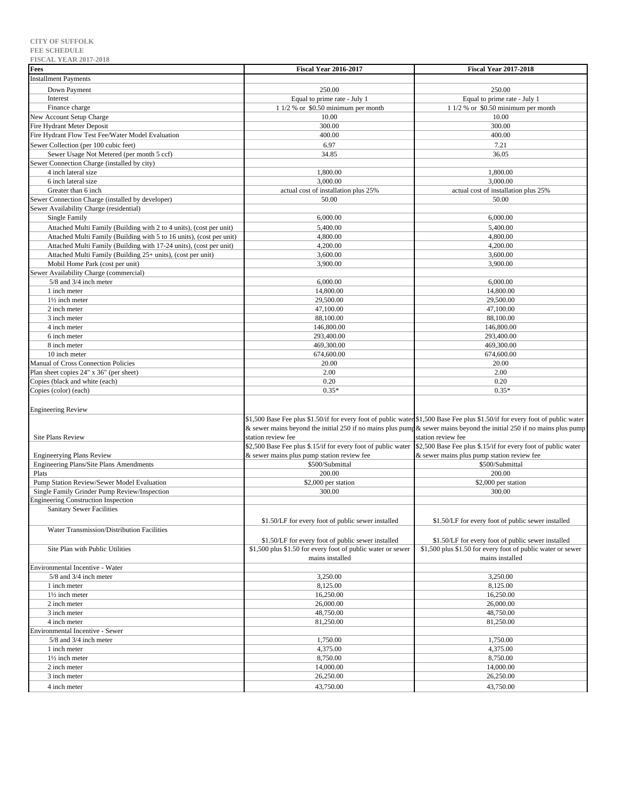| <b>FISCAL YEAR 2017-2018</b>                                         |                                                               |                                                                                                                               |
|----------------------------------------------------------------------|---------------------------------------------------------------|-------------------------------------------------------------------------------------------------------------------------------|
| Fees                                                                 | <b>Fiscal Year 2016-2017</b>                                  | <b>Fiscal Year 2017-2018</b>                                                                                                  |
| <b>Installment Payments</b>                                          |                                                               |                                                                                                                               |
|                                                                      |                                                               |                                                                                                                               |
| Down Payment                                                         | 250.00                                                        | 250.00                                                                                                                        |
| Interest                                                             | Equal to prime rate - July 1                                  | Equal to prime rate - July 1                                                                                                  |
| Finance charge                                                       | $11/2$ % or \$0.50 minimum per month                          | $11/2$ % or \$0.50 minimum per month                                                                                          |
| New Account Setup Charge                                             | 10.00                                                         | 10.00                                                                                                                         |
| <b>Fire Hydrant Meter Deposit</b>                                    | 300.00                                                        | 300.00                                                                                                                        |
| Fire Hydrant Flow Test Fee/Water Model Evaluation                    | 400.00                                                        | 400.00                                                                                                                        |
| Sewer Collection (per 100 cubic feet)                                | 6.97                                                          | 7.21                                                                                                                          |
| Sewer Usage Not Metered (per month 5 ccf)                            | 34.85                                                         | 36.05                                                                                                                         |
| Sewer Connection Charge (installed by city)                          |                                                               |                                                                                                                               |
|                                                                      |                                                               |                                                                                                                               |
| 4 inch lateral size                                                  | 1,800.00                                                      | 1,800.00                                                                                                                      |
| 6 inch lateral size                                                  | 3,000.00                                                      | 3,000.00                                                                                                                      |
| Greater than 6 inch                                                  | actual cost of installation plus 25%                          | actual cost of installation plus 25%                                                                                          |
| Sewer Connection Charge (installed by developer)                     | 50.00                                                         | 50.00                                                                                                                         |
| Sewer Availability Charge (residential)                              |                                                               |                                                                                                                               |
| Single Family                                                        | 6,000.00                                                      | 6,000.00                                                                                                                      |
| Attached Multi Family (Building with 2 to 4 units), (cost per unit)  | 5,400.00                                                      | 5,400.00                                                                                                                      |
| Attached Multi Family (Building with 5 to 16 units), (cost per unit) | 4,800.00                                                      | 4,800.00                                                                                                                      |
| Attached Multi Family (Building with 17-24 units), (cost per unit)   | 4,200.00                                                      | 4,200.00                                                                                                                      |
| Attached Multi Family (Building 25+ units), (cost per unit)          | 3,600.00                                                      | 3,600.00                                                                                                                      |
| Mobil Home Park (cost per unit)                                      | 3,900.00                                                      | 3,900.00                                                                                                                      |
|                                                                      |                                                               |                                                                                                                               |
| Sewer Availability Charge (commercial)                               |                                                               |                                                                                                                               |
| 5/8 and 3/4 inch meter                                               | 6,000.00                                                      | 6,000.00                                                                                                                      |
| 1 inch meter                                                         | 14,800.00                                                     | 14,800.00                                                                                                                     |
| 11/2 inch meter                                                      | 29,500.00                                                     | 29,500.00                                                                                                                     |
| 2 inch meter                                                         | 47,100.00                                                     | 47,100.00                                                                                                                     |
| 3 inch meter                                                         | 88,100.00                                                     | 88,100.00                                                                                                                     |
| 4 inch meter                                                         | 146,800.00                                                    | 146,800.00                                                                                                                    |
| 6 inch meter                                                         | 293,400.00                                                    | 293,400.00                                                                                                                    |
| 8 inch meter                                                         | 469,300.00                                                    | 469,300.00                                                                                                                    |
| 10 inch meter                                                        | 674,600.00                                                    | 674,600.00                                                                                                                    |
| Manual of Cross Connection Policies                                  | 20.00                                                         | 20.00                                                                                                                         |
| Plan sheet copies 24" x 36" (per sheet)                              | 2.00                                                          | 2.00                                                                                                                          |
|                                                                      |                                                               |                                                                                                                               |
| Copies (black and white (each)                                       | 0.20                                                          | 0.20                                                                                                                          |
| Copies (color) (each)                                                | $0.35*$                                                       | $0.35*$                                                                                                                       |
|                                                                      |                                                               |                                                                                                                               |
| <b>Engineering Review</b>                                            |                                                               |                                                                                                                               |
|                                                                      |                                                               | \$1,500 Base Fee plus \$1.50/if for every foot of public water \$1,500 Base Fee plus \$1.50/if for every foot of public water |
|                                                                      |                                                               | & sewer mains beyond the initial 250 if no mains plus pump & sewer mains beyond the initial 250 if no mains plus pump         |
| <b>Site Plans Review</b>                                             | station review fee                                            | station review fee                                                                                                            |
|                                                                      | \$2,500 Base Fee plus \$.15/if for every foot of public water | \$2,500 Base Fee plus \$.15/if for every foot of public water                                                                 |
| <b>Engineerying Plans Review</b>                                     | & sewer mains plus pump station review fee                    | & sewer mains plus pump station review fee                                                                                    |
| Engineering Plans/Site Plans Amendments                              | \$500/Submittal                                               | \$500/Submittal                                                                                                               |
| Plats                                                                | 200.00                                                        | 200.00                                                                                                                        |
|                                                                      |                                                               |                                                                                                                               |
| Pump Station Review/Sewer Model Evaluation                           | \$2,000 per station                                           | \$2,000 per station                                                                                                           |
| Single Family Grinder Pump Review/Inspection                         | 300.00                                                        | 300.00                                                                                                                        |
| <b>Engineering Construction Inspection</b>                           |                                                               |                                                                                                                               |
| Sanitary Sewer Facilities                                            |                                                               |                                                                                                                               |
|                                                                      | \$1.50/LF for every foot of public sewer installed            | \$1.50/LF for every foot of public sewer installed                                                                            |
| Water Transmission/Distribution Facilities                           |                                                               |                                                                                                                               |
|                                                                      | \$1.50/LF for every foot of public sewer installed            | \$1.50/LF for every foot of public sewer installed                                                                            |
| Site Plan with Public Utilities                                      | \$1,500 plus \$1.50 for every foot of public water or sewer   | \$1,500 plus \$1.50 for every foot of public water or sewer                                                                   |
|                                                                      | mains installed                                               |                                                                                                                               |
|                                                                      |                                                               | mains installed                                                                                                               |
| Environmental Incentive - Water                                      |                                                               |                                                                                                                               |
| 5/8 and 3/4 inch meter                                               | 3,250.00                                                      | 3,250.00                                                                                                                      |
| 1 inch meter                                                         | 8,125.00                                                      | 8,125.00                                                                                                                      |
| 1½ inch meter                                                        | 16,250.00                                                     | 16,250.00                                                                                                                     |
| 2 inch meter                                                         | 26,000.00                                                     | 26,000.00                                                                                                                     |
| 3 inch meter                                                         | 48,750.00                                                     | 48,750.00                                                                                                                     |
| 4 inch meter                                                         | 81,250.00                                                     | 81,250.00                                                                                                                     |
| Environmental Incentive - Sewer                                      |                                                               |                                                                                                                               |
| 5/8 and 3/4 inch meter                                               | 1,750.00                                                      |                                                                                                                               |
|                                                                      |                                                               | 1,750.00                                                                                                                      |
| 1 inch meter                                                         | 4,375.00                                                      | 4,375.00                                                                                                                      |
| 11/2 inch meter                                                      | 8,750.00                                                      | 8,750.00                                                                                                                      |
| 2 inch meter                                                         | 14,000.00                                                     | 14,000.00                                                                                                                     |
| 3 inch meter                                                         | 26,250.00                                                     | 26,250.00                                                                                                                     |
| 4 inch meter                                                         | 43,750.00                                                     | 43,750.00                                                                                                                     |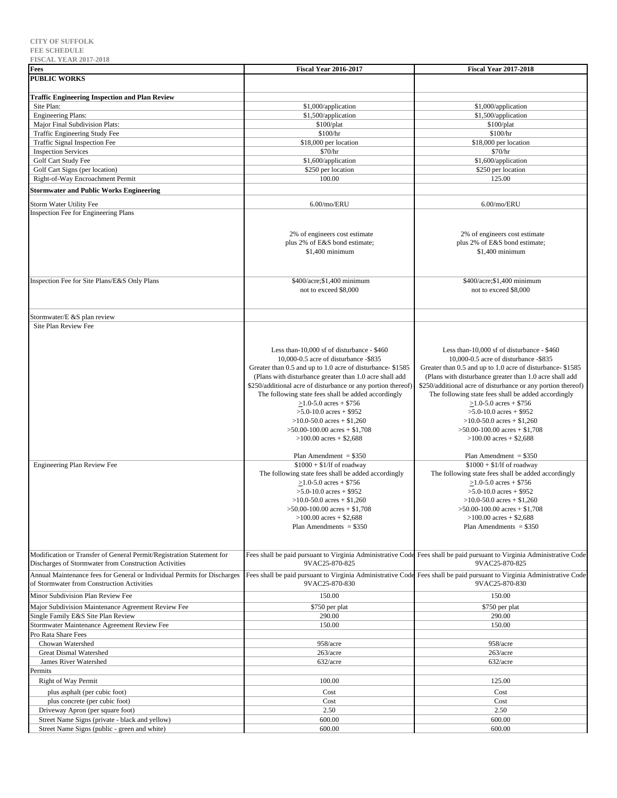| ະມບ<br>$1111$ <b>1.11111 401 / 4010</b><br>Fees                          | <b>Fiscal Year 2016-2017</b>                                 | <b>Fiscal Year 2017-2018</b>                                                                                            |
|--------------------------------------------------------------------------|--------------------------------------------------------------|-------------------------------------------------------------------------------------------------------------------------|
| <b>PUBLIC WORKS</b>                                                      |                                                              |                                                                                                                         |
|                                                                          |                                                              |                                                                                                                         |
| <b>Traffic Engineering Inspection and Plan Review</b>                    |                                                              |                                                                                                                         |
| Site Plan:                                                               | \$1,000/application                                          | \$1,000/application                                                                                                     |
| <b>Engineering Plans:</b>                                                | \$1,500/application                                          | \$1,500/application                                                                                                     |
| Major Final Subdivision Plats:                                           | \$100/plat                                                   | \$100/plat                                                                                                              |
| Traffic Engineering Study Fee<br>Traffic Signal Inspection Fee           | \$100/hr<br>\$18,000 per location                            | \$100/hr<br>\$18,000 per location                                                                                       |
| <b>Inspection Services</b>                                               | \$70/hr                                                      | \$70/hr                                                                                                                 |
| Golf Cart Study Fee                                                      | \$1,600/application                                          | \$1,600/application                                                                                                     |
| Golf Cart Signs (per location)                                           | \$250 per location                                           | \$250 per location                                                                                                      |
| Right-of-Way Encroachment Permit                                         | 100.00                                                       | 125.00                                                                                                                  |
| <b>Stormwater and Public Works Engineering</b>                           |                                                              |                                                                                                                         |
|                                                                          |                                                              |                                                                                                                         |
| Storm Water Utility Fee                                                  | 6.00/mo/ERU                                                  | 6.00/mo/ERU                                                                                                             |
| Inspection Fee for Engineering Plans                                     |                                                              |                                                                                                                         |
|                                                                          |                                                              |                                                                                                                         |
|                                                                          | 2% of engineers cost estimate                                | 2% of engineers cost estimate                                                                                           |
|                                                                          | plus 2% of E&S bond estimate;                                | plus 2% of E&S bond estimate;                                                                                           |
|                                                                          | \$1,400 minimum                                              | \$1,400 minimum                                                                                                         |
|                                                                          |                                                              |                                                                                                                         |
|                                                                          |                                                              |                                                                                                                         |
| Inspection Fee for Site Plans/E&S Only Plans                             | \$400/acre; \$1,400 minimum                                  | \$400/acre; \$1,400 minimum                                                                                             |
|                                                                          | not to exceed \$8,000                                        | not to exceed \$8,000                                                                                                   |
|                                                                          |                                                              |                                                                                                                         |
|                                                                          |                                                              |                                                                                                                         |
| Stormwater/E &S plan review<br>Site Plan Review Fee                      |                                                              |                                                                                                                         |
|                                                                          |                                                              |                                                                                                                         |
|                                                                          |                                                              |                                                                                                                         |
|                                                                          | Less than-10,000 sf of disturbance - \$460                   | Less than-10,000 sf of disturbance - \$460                                                                              |
|                                                                          | 10,000-0.5 acre of disturbance -\$835                        | 10,000-0.5 acre of disturbance -\$835                                                                                   |
|                                                                          | Greater than 0.5 and up to 1.0 acre of disturbance-\$1585    | Greater than 0.5 and up to 1.0 acre of disturbance-\$1585                                                               |
|                                                                          | (Plans with disturbance greater than 1.0 acre shall add      | (Plans with disturbance greater than 1.0 acre shall add                                                                 |
|                                                                          | \$250/additional acre of disturbance or any portion thereof) | \$250/additional acre of disturbance or any portion thereof)                                                            |
|                                                                          | The following state fees shall be added accordingly          | The following state fees shall be added accordingly                                                                     |
|                                                                          | $>1.0 - 5.0$ acres + \$756                                   | $>1.0 - 5.0$ acres + \$756                                                                                              |
|                                                                          | $>5.0 - 10.0$ acres + \$952                                  | $>5.0 - 10.0$ acres + \$952                                                                                             |
|                                                                          | $>10.0 - 50.0$ acres + \$1,260                               | $>10.0 - 50.0$ acres + \$1,260                                                                                          |
|                                                                          | $>50.00 - 100.00$ acres + \$1,708                            | $>50.00 - 100.00$ acres + \$1,708                                                                                       |
|                                                                          | $>100.00$ acres + \$2,688                                    | $>100.00$ acres + \$2,688                                                                                               |
|                                                                          | Plan Amendment $= $350$                                      | Plan Amendment = $$350$                                                                                                 |
| Engineering Plan Review Fee                                              | $$1000 + $1/lf$ of roadway                                   | $$1000 + $1/lf$ of roadway                                                                                              |
|                                                                          | The following state fees shall be added accordingly          | The following state fees shall be added accordingly                                                                     |
|                                                                          | $\geq$ 1.0-5.0 acres + \$756                                 | $>1.0 - 5.0$ acres + \$756                                                                                              |
|                                                                          | $>5.0 - 10.0$ acres + \$952                                  | $>5.0 - 10.0$ acres + \$952                                                                                             |
|                                                                          | $>10.0 - 50.0$ acres + \$1,260                               | $>10.0 - 50.0$ acres + \$1,260                                                                                          |
|                                                                          | $>50.00 - 100.00$ acres + \$1,708                            | $>50.00 - 100.00$ acres + \$1,708                                                                                       |
|                                                                          | $>100.00$ acres + \$2,688                                    | $>100.00$ acres + \$2,688                                                                                               |
|                                                                          | Plan Amendments = $$350$                                     | Plan Amendments = $$350$                                                                                                |
|                                                                          |                                                              |                                                                                                                         |
|                                                                          |                                                              |                                                                                                                         |
| Modification or Transfer of General Permit/Registration Statement for    |                                                              | Fees shall be paid pursuant to Virginia Administrative Code Fees shall be paid pursuant to Virginia Administrative Code |
| Discharges of Stormwater from Construction Activities                    | 9VAC25-870-825                                               | 9VAC25-870-825                                                                                                          |
| Annual Maintenance fees for General or Individual Permits for Discharges |                                                              | Fees shall be paid pursuant to Virginia Administrative Code Fees shall be paid pursuant to Virginia Administrative Code |
| of Stormwater from Construction Activities                               | 9VAC25-870-830                                               | 9VAC25-870-830                                                                                                          |
| Minor Subdivision Plan Review Fee                                        | 150.00                                                       | 150.00                                                                                                                  |
| Major Subdivision Maintenance Agreement Review Fee                       | \$750 per plat                                               | \$750 per plat                                                                                                          |
| Single Family E&S Site Plan Review                                       | 290.00                                                       | 290.00                                                                                                                  |
| Stormwater Maintenance Agreement Review Fee                              | 150.00                                                       | 150.00                                                                                                                  |
| Pro Rata Share Fees                                                      |                                                              |                                                                                                                         |
| Chowan Watershed                                                         | 958/acre                                                     | 958/acre                                                                                                                |
| <b>Great Dismal Watershed</b>                                            | 263/acre                                                     | 263/acre                                                                                                                |
| James River Watershed                                                    | 632/acre                                                     | 632/acre                                                                                                                |
| Permits                                                                  |                                                              |                                                                                                                         |
| Right of Way Permit                                                      | 100.00                                                       | 125.00                                                                                                                  |
|                                                                          |                                                              |                                                                                                                         |
| plus asphalt (per cubic foot)<br>plus concrete (per cubic foot)          | Cost<br>Cost                                                 | Cost<br>Cost                                                                                                            |
| Driveway Apron (per square foot)                                         | 2.50                                                         | 2.50                                                                                                                    |
| Street Name Signs (private - black and yellow)                           | 600.00                                                       | 600.00                                                                                                                  |
| Street Name Signs (public - green and white)                             | 600.00                                                       | 600.00                                                                                                                  |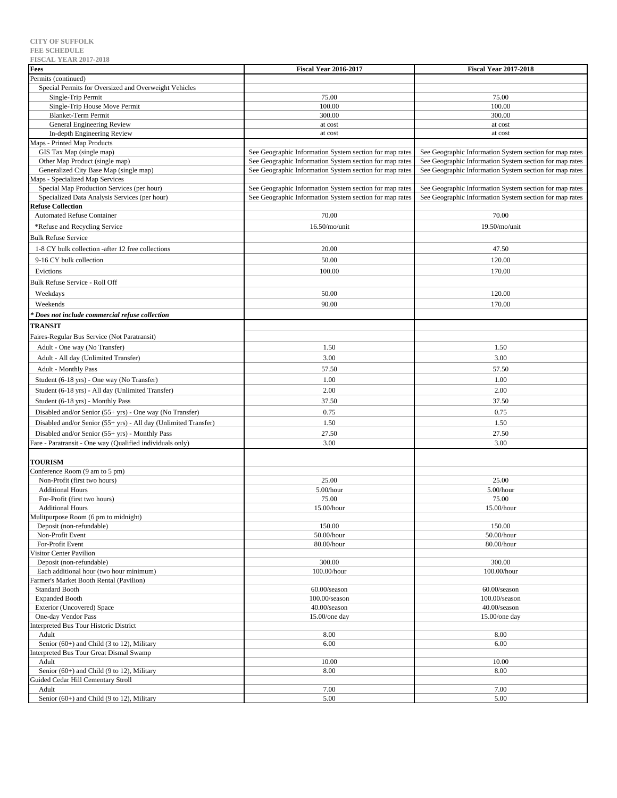| <b>FISCAL YEAR 2017-2018</b>                                    |                                                         |                                                         |
|-----------------------------------------------------------------|---------------------------------------------------------|---------------------------------------------------------|
| Fees                                                            | <b>Fiscal Year 2016-2017</b>                            | <b>Fiscal Year 2017-2018</b>                            |
| Permits (continued)                                             |                                                         |                                                         |
| Special Permits for Oversized and Overweight Vehicles           |                                                         |                                                         |
| Single-Trip Permit                                              | 75.00                                                   | 75.00                                                   |
| Single-Trip House Move Permit                                   | 100.00                                                  | 100.00                                                  |
| <b>Blanket-Term Permit</b><br>General Engineering Review        | 300.00                                                  | 300.00<br>at cost                                       |
| In-depth Engineering Review                                     | at cost<br>at cost                                      | at cost                                                 |
| Maps - Printed Map Products                                     |                                                         |                                                         |
| GIS Tax Map (single map)                                        | See Geographic Information System section for map rates | See Geographic Information System section for map rates |
| Other Map Product (single map)                                  | See Geographic Information System section for map rates | See Geographic Information System section for map rates |
| Generalized City Base Map (single map)                          | See Geographic Information System section for map rates | See Geographic Information System section for map rates |
| Maps - Specialized Map Services                                 |                                                         |                                                         |
| Special Map Production Services (per hour)                      | See Geographic Information System section for map rates | See Geographic Information System section for map rates |
| Specialized Data Analysis Services (per hour)                   | See Geographic Information System section for map rates | See Geographic Information System section for map rates |
| <b>Refuse Collection</b>                                        |                                                         |                                                         |
| <b>Automated Refuse Container</b>                               | 70.00                                                   | 70.00                                                   |
| *Refuse and Recycling Service                                   | 16.50/mo/unit                                           | 19.50/mo/unit                                           |
| <b>Bulk Refuse Service</b>                                      |                                                         |                                                         |
| 1-8 CY bulk collection -after 12 free collections               | 20.00                                                   | 47.50                                                   |
|                                                                 |                                                         |                                                         |
| 9-16 CY bulk collection                                         | 50.00                                                   | 120.00                                                  |
| Evictions                                                       | 100.00                                                  | 170.00                                                  |
| <b>Bulk Refuse Service - Roll Off</b>                           |                                                         |                                                         |
| Weekdays                                                        | 50.00                                                   | 120.00                                                  |
| Weekends                                                        | 90.00                                                   | 170.00                                                  |
| Does not include commercial refuse collection                   |                                                         |                                                         |
| <b>TRANSIT</b>                                                  |                                                         |                                                         |
|                                                                 |                                                         |                                                         |
| Faires-Regular Bus Service (Not Paratransit)                    |                                                         |                                                         |
| Adult - One way (No Transfer)                                   | 1.50                                                    | 1.50                                                    |
| Adult - All day (Unlimited Transfer)                            | 3.00                                                    | 3.00                                                    |
| <b>Adult - Monthly Pass</b>                                     | 57.50                                                   | 57.50                                                   |
| Student (6-18 yrs) - One way (No Transfer)                      | 1.00                                                    | 1.00                                                    |
| Student (6-18 yrs) - All day (Unlimited Transfer)               | 2.00                                                    | 2.00                                                    |
| Student (6-18 yrs) - Monthly Pass                               | 37.50                                                   | 37.50                                                   |
| Disabled and/or Senior (55+ yrs) - One way (No Transfer)        | 0.75                                                    | 0.75                                                    |
| Disabled and/or Senior (55+ yrs) - All day (Unlimited Transfer) | 1.50                                                    | 1.50                                                    |
| Disabled and/or Senior (55+ yrs) - Monthly Pass                 | 27.50                                                   | 27.50                                                   |
| Fare - Paratransit - One way (Qualified individuals only)       | 3.00                                                    | 3.00                                                    |
|                                                                 |                                                         |                                                         |
| <b>TOURISM</b>                                                  |                                                         |                                                         |
| Conference Room (9 am to 5 pm)                                  |                                                         |                                                         |
| Non-Profit (first two hours)                                    | 25.00                                                   | 25.00                                                   |
| <b>Additional Hours</b>                                         | 5.00/hour                                               | 5.00/hour                                               |
| For-Profit (first two hours)                                    | 75.00                                                   | 75.00                                                   |
| <b>Additional Hours</b>                                         | 15.00/hour                                              | 15.00/hour                                              |
| Mulitpurpose Room (6 pm to midnight)                            |                                                         |                                                         |
| Deposit (non-refundable)                                        | 150.00                                                  | 150.00                                                  |
| Non-Profit Event                                                | 50.00/hour                                              | 50.00/hour                                              |
| For-Profit Event                                                | 80.00/hour                                              | 80.00/hour                                              |
| Visitor Center Pavilion                                         |                                                         |                                                         |
| Deposit (non-refundable)                                        | 300.00                                                  | 300.00                                                  |
| Each additional hour (two hour minimum)                         | 100.00/hour                                             | 100.00/hour                                             |
| Farmer's Market Booth Rental (Pavilion)                         |                                                         |                                                         |
| <b>Standard Booth</b>                                           | 60.00/season<br>$100.00$ /season                        | $60.00$ /season<br>$100.00$ /season                     |
| <b>Expanded Booth</b><br>Exterior (Uncovered) Space             | 40.00/season                                            | 40.00/season                                            |
| One-day Vendor Pass                                             | $15.00$ /one day                                        | 15.00/one day                                           |
| Interpreted Bus Tour Historic District                          |                                                         |                                                         |
| Adult                                                           | 8.00                                                    | 8.00                                                    |
| Senior (60+) and Child (3 to 12), Military                      | 6.00                                                    | 6.00                                                    |
| Interpreted Bus Tour Great Dismal Swamp                         |                                                         |                                                         |
| Adult                                                           | 10.00                                                   | 10.00                                                   |
| Senior (60+) and Child (9 to 12), Military                      | 8.00                                                    | 8.00                                                    |
| Guided Cedar Hill Cementary Stroll                              |                                                         |                                                         |
| Adult                                                           | 7.00                                                    | 7.00                                                    |
| Senior (60+) and Child (9 to 12), Military                      | 5.00                                                    | 5.00                                                    |